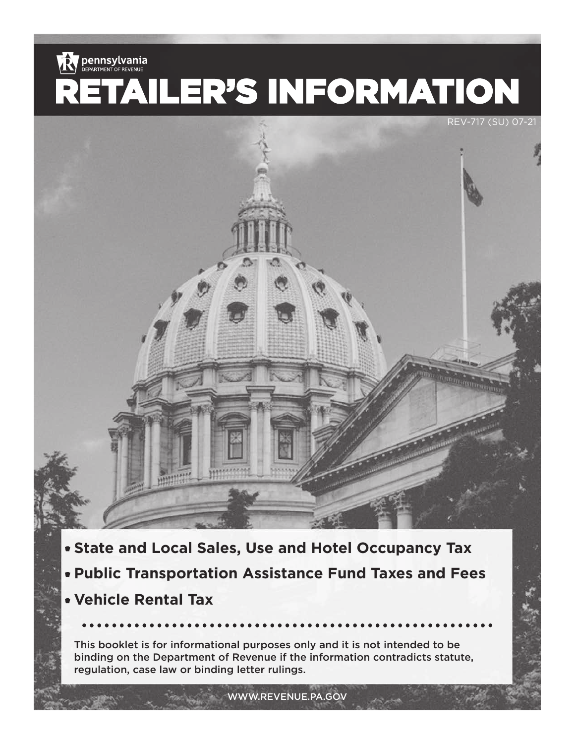

- **State and Local Sales, Use and Hotel Occupancy Tax**
- **Public Transportation Assistance Fund Taxes and Fees**
- **Vehicle Rental Tax**

This booklet is for informational purposes only and it is not intended to be binding on the Department of Revenue if the information contradicts statute, regulation, case law or binding letter rulings.

WWW.REVENUE.PA.GOV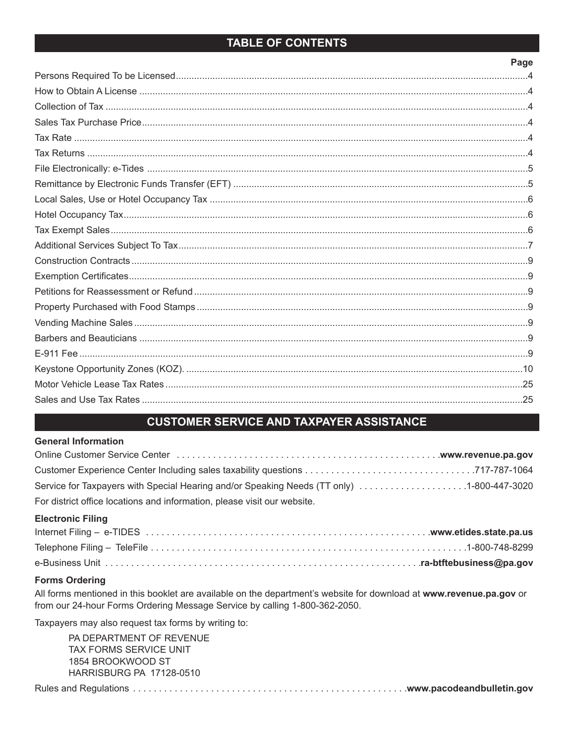# **TABLE OF CONTENTS**

### Page

# **CUSTOMER SERVICE AND TAXPAYER ASSISTANCE**

#### **General Information**

| Service for Taxpayers with Special Hearing and/or Speaking Needs (TT only) 1-800-447-3020 |  |
|-------------------------------------------------------------------------------------------|--|
| For district office locations and information, please visit our website.                  |  |

### **Electronic Filing**

#### **Forms Ordering**

All forms mentioned in this booklet are available on the department's website for download at www.revenue.pa.gov or from our 24-hour Forms Ordering Message Service by calling 1-800-362-2050.

Taxpayers may also request tax forms by writing to:

PA DEPARTMENT OF REVENUE TAX FORMS SERVICE UNIT 1854 BROOKWOOD ST HARRISBURG PA 17128-0510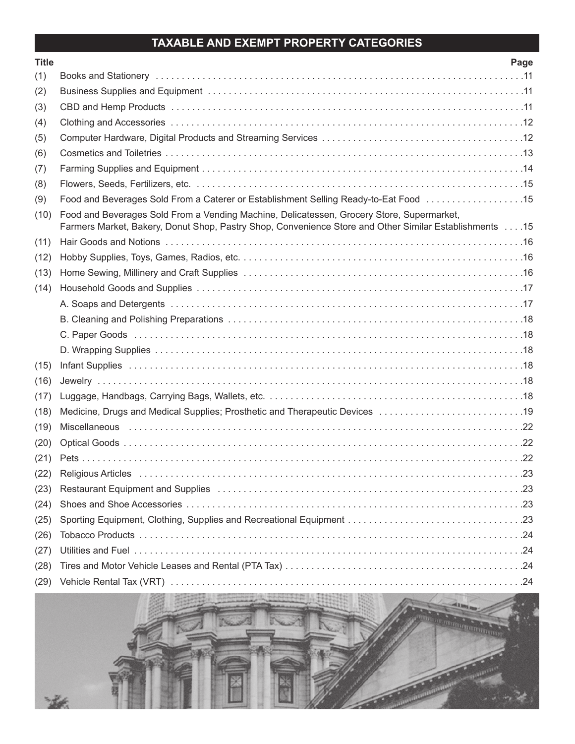# **TAXABLE AND EXEMPT PROPERTY CATEGORIES**

| <b>Title</b> | Page                                                                                                                                                                                                |
|--------------|-----------------------------------------------------------------------------------------------------------------------------------------------------------------------------------------------------|
| (1)          |                                                                                                                                                                                                     |
| (2)          |                                                                                                                                                                                                     |
| (3)          |                                                                                                                                                                                                     |
| (4)          |                                                                                                                                                                                                     |
| (5)          |                                                                                                                                                                                                     |
| (6)          |                                                                                                                                                                                                     |
| (7)          |                                                                                                                                                                                                     |
| (8)          |                                                                                                                                                                                                     |
| (9)          |                                                                                                                                                                                                     |
| (10)         | Food and Beverages Sold From a Vending Machine, Delicatessen, Grocery Store, Supermarket,<br>Farmers Market, Bakery, Donut Shop, Pastry Shop, Convenience Store and Other Similar Establishments 15 |
| (11)         |                                                                                                                                                                                                     |
| (12)         |                                                                                                                                                                                                     |
| (13)         |                                                                                                                                                                                                     |
| (14)         |                                                                                                                                                                                                     |
|              |                                                                                                                                                                                                     |
|              |                                                                                                                                                                                                     |
|              |                                                                                                                                                                                                     |
|              |                                                                                                                                                                                                     |
| (15)         |                                                                                                                                                                                                     |
| (16)         |                                                                                                                                                                                                     |
| (17)         |                                                                                                                                                                                                     |
| (18)         | Medicine, Drugs and Medical Supplies; Prosthetic and Therapeutic Devices 19                                                                                                                         |
| (19)         |                                                                                                                                                                                                     |
| (20)         |                                                                                                                                                                                                     |
| (21)         |                                                                                                                                                                                                     |
| (22)         |                                                                                                                                                                                                     |
| (23)         | Restaurant Equipment and Supplies (etc. but is a series of the series of the series of the series of the serie                                                                                      |
| (24)         |                                                                                                                                                                                                     |
| (25)         |                                                                                                                                                                                                     |
| (26)         |                                                                                                                                                                                                     |
| (27)         |                                                                                                                                                                                                     |
| (28)         |                                                                                                                                                                                                     |
| (29)         |                                                                                                                                                                                                     |

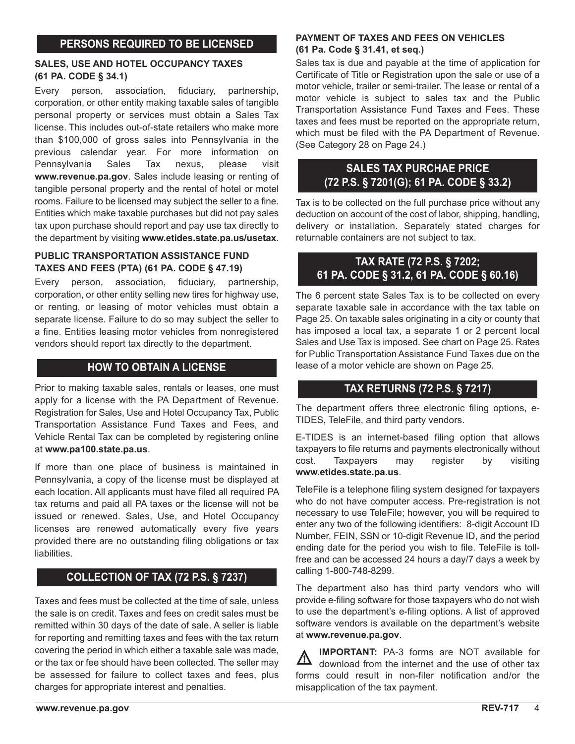## **PERSONS REQUIRED TO BE LICENSED**

#### **SALES, USE AND HOTEL OCCUPANCY TAXES (61 PA. CODE § 34.1)**

Every person, association, fiduciary, partnership, corporation, or other entity making taxable sales of tangible personal property or services must obtain a Sales Tax license. This includes out-of-state retailers who make more than \$100,000 of gross sales into Pennsylvania in the previous calendar year. For more information on Pennsylvania Sales Tax nexus, please visit **www.revenue.pa.gov**. Sales include leasing or renting of tangible personal property and the rental of hotel or motel rooms. Failure to be licensed may subject the seller to a fine. Entities which make taxable purchases but did not pay sales tax upon purchase should report and pay use tax directly to the department by visiting **www.etides.state.pa.us/usetax**.

### **PUBLIC TRANSPORTATION ASSISTANCE FUND TAXES AND FEES (PTA) (61 PA. CODE § 47.19)**

Every person, association, fiduciary, partnership, corporation, or other entity selling new tires for highway use, or renting, or leasing of motor vehicles must obtain a separate license. Failure to do so may subject the seller to a fine. Entities leasing motor vehicles from nonregistered vendors should report tax directly to the department.

## **HOW TO OBTAIN A LICENSE**

Prior to making taxable sales, rentals or leases, one must apply for a license with the PA Department of Revenue. Registration for Sales, Use and Hotel Occupancy Tax, Public Transportation Assistance Fund Taxes and Fees, and Vehicle Rental Tax can be completed by registering online at **www.pa100.state.pa.us**.

If more than one place of business is maintained in Pennsylvania, a copy of the license must be displayed at each location. All applicants must have filed all required PA tax returns and paid all PA taxes or the license will not be issued or renewed. Sales, Use, and Hotel Occupancy licenses are renewed automatically every five years provided there are no outstanding filing obligations or tax liabilities.

# **COLLECTION OF TAX (72 P.S. § 7237)**

Taxes and fees must be collected at the time of sale, unless the sale is on credit. Taxes and fees on credit sales must be remitted within 30 days of the date of sale. A seller is liable for reporting and remitting taxes and fees with the tax return covering the period in which either a taxable sale was made, or the tax or fee should have been collected. The seller may be assessed for failure to collect taxes and fees, plus charges for appropriate interest and penalties.

#### **PAYMENT OF TAXES AND FEES ON VEHICLES (61 Pa. Code § 31.41, et seq.)**

Sales tax is due and payable at the time of application for Certificate of Title or Registration upon the sale or use of a motor vehicle, trailer or semi-trailer. The lease or rental of a motor vehicle is subject to sales tax and the Public Transportation Assistance Fund Taxes and Fees. These taxes and fees must be reported on the appropriate return, which must be filed with the PA Department of Revenue. (See Category 28 on Page 24.)

# **SALES TAX PURCHAE PRICE (72 P.S. § 7201(G); 61 PA. CODE § 33.2)**

Tax is to be collected on the full purchase price without any deduction on account of the cost of labor, shipping, handling, delivery or installation. Separately stated charges for returnable containers are not subject to tax.

## **TAX RATE (72 P.S. § 7202; 61 PA. CODE § 31.2, 61 PA. CODE § 60.16)**

The 6 percent state Sales Tax is to be collected on every separate taxable sale in accordance with the tax table on Page 25. On taxable sales originating in a city or county that has imposed a local tax, a separate 1 or 2 percent local Sales and Use Tax is imposed. See chart on Page 25. Rates for Public Transportation Assistance Fund Taxes due on the lease of a motor vehicle are shown on Page 25.

## **TAX RETURNS (72 P.S. § 7217)**

The department offers three electronic filing options, e-TIDES, TeleFile, and third party vendors.

E-TIDES is an internet-based filing option that allows taxpayers to file returns and payments electronically without cost. Taxpayers may register by visiting **www.etides.state.pa.us**.

TeleFile is a telephone filing system designed for taxpayers who do not have computer access. Pre-registration is not necessary to use TeleFile; however, you will be required to enter any two of the following identifiers: 8-digit Account ID Number, FEIN, SSN or 10-digit Revenue ID, and the period ending date for the period you wish to file. TeleFile is tollfree and can be accessed 24 hours a day/7 days a week by calling 1-800-748-8299.

The department also has third party vendors who will provide e-filing software for those taxpayers who do not wish to use the department's e-filing options. A list of approved software vendors is available on the department's website at **www.revenue.pa.gov**.

**IMPORTANT:** PA-3 forms are NOT available for Λ download from the internet and the use of other tax forms could result in non-filer notification and/or the misapplication of the tax payment.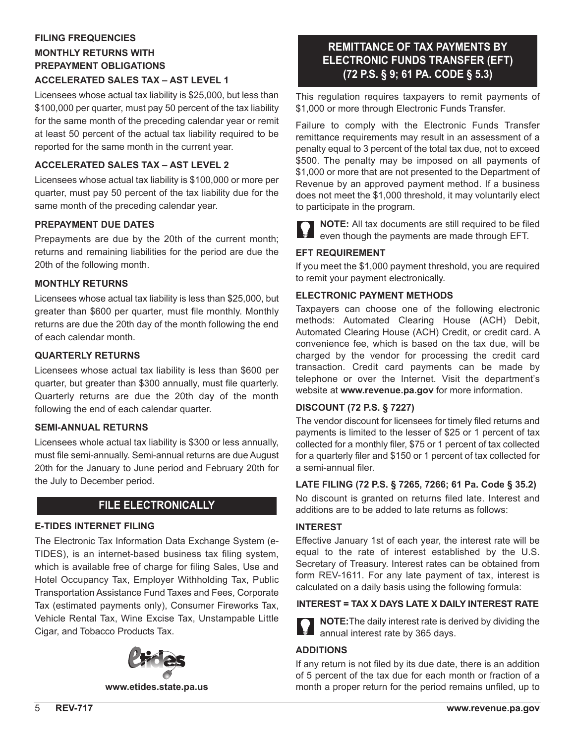# **FILING FREQUENCIES MONTHLY RETURNS WITH PREPAYMENT OBLIGATIONS**

### **ACCELERATED SALES TAX – AST LEVEL 1**

Licensees whose actual tax liability is \$25,000, but less than \$100,000 per quarter, must pay 50 percent of the tax liability for the same month of the preceding calendar year or remit at least 50 percent of the actual tax liability required to be reported for the same month in the current year.

### **ACCELERATED SALES TAX – AST LEVEL 2**

Licensees whose actual tax liability is \$100,000 or more per quarter, must pay 50 percent of the tax liability due for the same month of the preceding calendar year.

#### **PREPAYMENT DUE DATES**

Prepayments are due by the 20th of the current month; returns and remaining liabilities for the period are due the 20th of the following month.

### **MONTHLY RETURNS**

Licensees whose actual tax liability is less than \$25,000, but greater than \$600 per quarter, must file monthly. Monthly returns are due the 20th day of the month following the end of each calendar month.

#### **QUARTERLY RETURNS**

Licensees whose actual tax liability is less than \$600 per quarter, but greater than \$300 annually, must file quarterly. Quarterly returns are due the 20th day of the month following the end of each calendar quarter.

#### **SEMI-ANNUAL RETURNS**

Licensees whole actual tax liability is \$300 or less annually, must file semi-annually. Semi-annual returns are due August 20th for the January to June period and February 20th for the July to December period.

### **FILE ELECTRONICALLY**

### **E-TIDES INTERNET FILING**

The Electronic Tax Information Data Exchange System (e-TIDES), is an internet-based business tax filing system, which is available free of charge for filing Sales, Use and Hotel Occupancy Tax, Employer Withholding Tax, Public Transportation Assistance Fund Taxes and Fees, Corporate Tax (estimated payments only), Consumer Fireworks Tax, Vehicle Rental Tax, Wine Excise Tax, Unstampable Little Cigar, and Tobacco Products Tax.



**www.etides.state.pa.us**

# **REMITTANCE OF TAX PAYMENTS BY ELECTRONIC FUNDS TRANSFER (EFT) (72 P.S. § 9; 61 PA. CODE § 5.3)**

This regulation requires taxpayers to remit payments of \$1,000 or more through Electronic Funds Transfer.

Failure to comply with the Electronic Funds Transfer remittance requirements may result in an assessment of a penalty equal to 3 percent of the total tax due, not to exceed \$500. The penalty may be imposed on all payments of \$1,000 or more that are not presented to the Department of Revenue by an approved payment method. If a business does not meet the \$1,000 threshold, it may voluntarily elect to participate in the program.

**NOTE:** All tax documents are still required to be filed even though the payments are made through EFT.

#### **EFT REQUIREMENT**

If you meet the \$1,000 payment threshold, you are required to remit your payment electronically.

#### **ELECTRONIC PAYMENT METHODS**

Taxpayers can choose one of the following electronic methods: Automated Clearing House (ACH) Debit, Automated Clearing House (ACH) Credit, or credit card. A convenience fee, which is based on the tax due, will be charged by the vendor for processing the credit card transaction. Credit card payments can be made by telephone or over the Internet. Visit the department's website at **www.revenue.pa.gov** for more information.

#### **DISCOUNT (72 P.S. § 7227)**

The vendor discount for licensees for timely filed returns and payments is limited to the lesser of \$25 or 1 percent of tax collected for a monthly filer, \$75 or 1 percent of tax collected for a quarterly filer and \$150 or 1 percent of tax collected for a semi-annual filer.

#### **LATE FILING (72 P.S. § 7265, 7266; 61 Pa. Code § 35.2)**

No discount is granted on returns filed late. Interest and additions are to be added to late returns as follows:

### **INTEREST**

Effective January 1st of each year, the interest rate will be equal to the rate of interest established by the U.S. Secretary of Treasury. Interest rates can be obtained from form REV-1611. For any late payment of tax, interest is calculated on a daily basis using the following formula:

#### **INTEREST = TAX X DAYS LATE X DAILY INTEREST RATE**

**NOTE:**The daily interest rate is derived by dividing the annual interest rate by 365 days.

### **ADDITIONS**

If any return is not filed by its due date, there is an addition of 5 percent of the tax due for each month or fraction of a month a proper return for the period remains unfiled, up to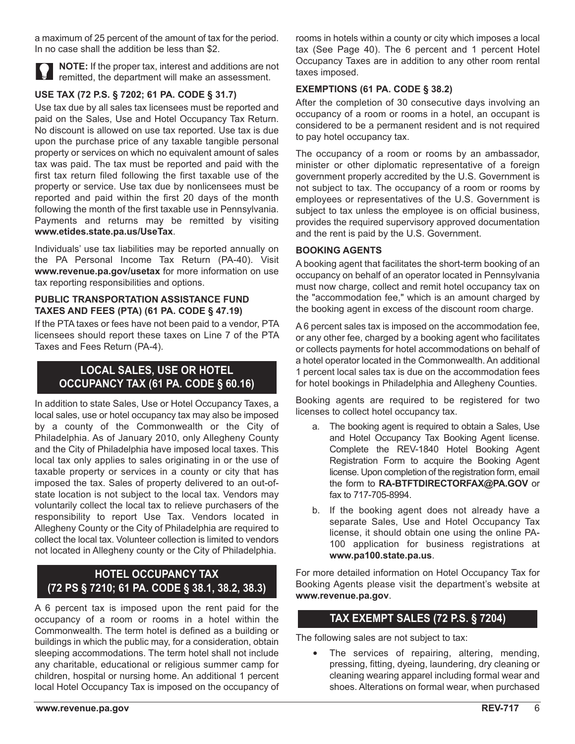a maximum of 25 percent of the amount of tax for the period. In no case shall the addition be less than \$2.



**NOTE:** If the proper tax, interest and additions are not remitted, the department will make an assessment.

## **USE TAX (72 P.S. § 7202; 61 PA. CODE § 31.7)**

Use tax due by all sales tax licensees must be reported and paid on the Sales, Use and Hotel Occupancy Tax Return. No discount is allowed on use tax reported. Use tax is due upon the purchase price of any taxable tangible personal property or services on which no equivalent amount of sales tax was paid. The tax must be reported and paid with the first tax return filed following the first taxable use of the property or service. Use tax due by nonlicensees must be reported and paid within the first 20 days of the month following the month of the first taxable use in Pennsylvania. Payments and returns may be remitted by visiting **www.etides.state.pa.us/UseTax**.

Individuals' use tax liabilities may be reported annually on the PA Personal Income Tax Return (PA-40). Visit **www.revenue.pa.gov/usetax** for more information on use tax reporting responsibilities and options.

#### **PUBLIC TRANSPORTATION ASSISTANCE FUND TAXES AND FEES (PTA) (61 PA. CODE § 47.19)**

If the PTA taxes or fees have not been paid to a vendor, PTA licensees should report these taxes on Line 7 of the PTA Taxes and Fees Return (PA-4).

# **LOCAL SALES, USE OR HOTEL OCCUPANCY TAX (61 PA. CODE § 60.16)**

In addition to state Sales, Use or Hotel Occupancy Taxes, a local sales, use or hotel occupancy tax may also be imposed by a county of the Commonwealth or the City of Philadelphia. As of January 2010, only Allegheny County and the City of Philadelphia have imposed local taxes. This local tax only applies to sales originating in or the use of taxable property or services in a county or city that has imposed the tax. Sales of property delivered to an out-ofstate location is not subject to the local tax. Vendors may voluntarily collect the local tax to relieve purchasers of the responsibility to report Use Tax. Vendors located in Allegheny County or the City of Philadelphia are required to collect the local tax. Volunteer collection is limited to vendors not located in Allegheny county or the City of Philadelphia.

# **HOTEL OCCUPANCY TAX (72 PS § 7210; 61 PA. CODE § 38.1, 38.2, 38.3)**

A 6 percent tax is imposed upon the rent paid for the occupancy of a room or rooms in a hotel within the Commonwealth. The term hotel is defined as a building or buildings in which the public may, for a consideration, obtain sleeping accommodations. The term hotel shall not include any charitable, educational or religious summer camp for children, hospital or nursing home. An additional 1 percent local Hotel Occupancy Tax is imposed on the occupancy of rooms in hotels within a county or city which imposes a local tax (See Page 40). The 6 percent and 1 percent Hotel Occupancy Taxes are in addition to any other room rental taxes imposed.

### **EXEMPTIONS (61 PA. CODE § 38.2)**

After the completion of 30 consecutive days involving an occupancy of a room or rooms in a hotel, an occupant is considered to be a permanent resident and is not required to pay hotel occupancy tax.

The occupancy of a room or rooms by an ambassador, minister or other diplomatic representative of a foreign government properly accredited by the U.S. Government is not subject to tax. The occupancy of a room or rooms by employees or representatives of the U.S. Government is subject to tax unless the employee is on official business, provides the required supervisory approved documentation and the rent is paid by the U.S. Government.

#### **BOOKING AGENTS**

A booking agent that facilitates the short-term booking of an occupancy on behalf of an operator located in Pennsylvania must now charge, collect and remit hotel occupancy tax on the "accommodation fee," which is an amount charged by the booking agent in excess of the discount room charge.

A 6 percent sales tax is imposed on the accommodation fee, or any other fee, charged by a booking agent who facilitates or collects payments for hotel accommodations on behalf of a hotel operator located in the Commonwealth. An additional 1 percent local sales tax is due on the accommodation fees for hotel bookings in Philadelphia and Allegheny Counties.

Booking agents are required to be registered for two licenses to collect hotel occupancy tax.

- a. The booking agent is required to obtain a Sales, Use and Hotel Occupancy Tax Booking Agent license. Complete the REV-1840 Hotel Booking Agent Registration Form to acquire the Booking Agent license. Upon completion of the registration form, email the form to **RA-BTFTDIRECTORFAX@PA.GOV** or fax to 717-705-8994.
- b. If the booking agent does not already have a separate Sales, Use and Hotel Occupancy Tax license, it should obtain one using the online PA-100 application for business registrations at **www.pa100.state.pa.us**.

For more detailed information on Hotel Occupancy Tax for Booking Agents please visit the department's website at **www.revenue.pa.gov**.

## **TAX EXEMPT SALES (72 P.S. § 7204)**

The following sales are not subject to tax:

The services of repairing, altering, mending, pressing, fitting, dyeing, laundering, dry cleaning or cleaning wearing apparel including formal wear and shoes. Alterations on formal wear, when purchased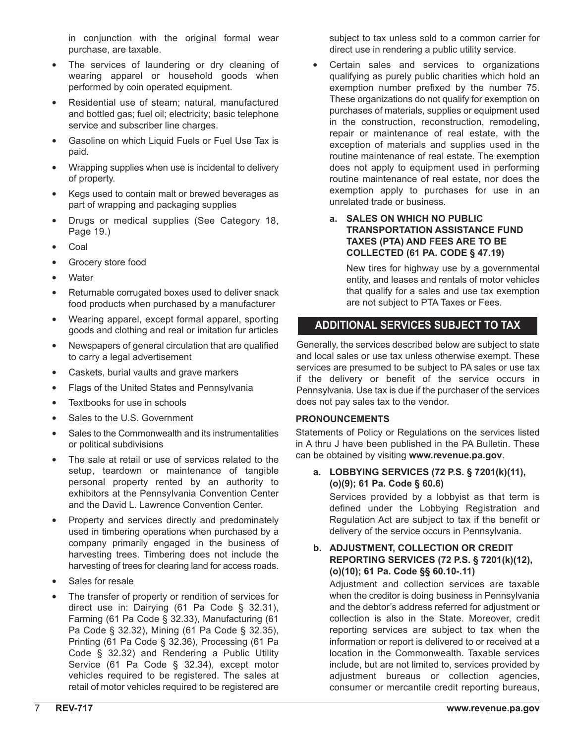in conjunction with the original formal wear purchase, are taxable.

- The services of laundering or dry cleaning of wearing apparel or household goods when performed by coin operated equipment.
- Residential use of steam; natural, manufactured and bottled gas; fuel oil; electricity; basic telephone service and subscriber line charges.
- Gasoline on which Liquid Fuels or Fuel Use Tax is paid.
- Wrapping supplies when use is incidental to delivery of property.
- Kegs used to contain malt or brewed beverages as part of wrapping and packaging supplies
- Drugs or medical supplies (See Category 18, Page 19.)
- Coal
- Grocery store food
- **Water**
- Returnable corrugated boxes used to deliver snack food products when purchased by a manufacturer
- Wearing apparel, except formal apparel, sporting goods and clothing and real or imitation fur articles
- Newspapers of general circulation that are qualified to carry a legal advertisement
- Caskets, burial vaults and grave markers
- Flags of the United States and Pennsylvania
- Textbooks for use in schools
- Sales to the U.S. Government
- Sales to the Commonwealth and its instrumentalities or political subdivisions
- The sale at retail or use of services related to the setup, teardown or maintenance of tangible personal property rented by an authority to exhibitors at the Pennsylvania Convention Center and the David L. Lawrence Convention Center.
- Property and services directly and predominately used in timbering operations when purchased by a company primarily engaged in the business of harvesting trees. Timbering does not include the harvesting of trees for clearing land for access roads.
- Sales for resale
- The transfer of property or rendition of services for direct use in: Dairying (61 Pa Code § 32.31), Farming (61 Pa Code § 32.33), Manufacturing (61 Pa Code § 32.32), Mining (61 Pa Code § 32.35), Printing (61 Pa Code § 32.36), Processing (61 Pa Code § 32.32) and Rendering a Public Utility Service (61 Pa Code § 32.34), except motor vehicles required to be registered. The sales at retail of motor vehicles required to be registered are

subject to tax unless sold to a common carrier for direct use in rendering a public utility service.

- Certain sales and services to organizations qualifying as purely public charities which hold an exemption number prefixed by the number 75. These organizations do not qualify for exemption on purchases of materials, supplies or equipment used in the construction, reconstruction, remodeling, repair or maintenance of real estate, with the exception of materials and supplies used in the routine maintenance of real estate. The exemption does not apply to equipment used in performing routine maintenance of real estate, nor does the exemption apply to purchases for use in an unrelated trade or business.
	- **a. SALES ON WHICH NO PUBLIC TRANSPORTATION ASSISTANCE FUND TAXES (PTA) AND FEES ARE TO BE COLLECTED (61 PA. CODE § 47.19)**

New tires for highway use by a governmental entity, and leases and rentals of motor vehicles that qualify for a sales and use tax exemption are not subject to PTA Taxes or Fees.

# **ADDITIONAL SERVICES SUBJECT TO TAX**

Generally, the services described below are subject to state and local sales or use tax unless otherwise exempt. These services are presumed to be subject to PA sales or use tax if the delivery or benefit of the service occurs in Pennsylvania. Use tax is due if the purchaser of the services does not pay sales tax to the vendor.

### **PRONOUNCEMENTS**

Statements of Policy or Regulations on the services listed in A thru J have been published in the PA Bulletin. These can be obtained by visiting **www.revenue.pa.gov**.

**a. LOBBYING SERVICES (72 P.S. § 7201(k)(11), (o)(9); 61 Pa. Code § 60.6)**

Services provided by a lobbyist as that term is defined under the Lobbying Registration and Regulation Act are subject to tax if the benefit or delivery of the service occurs in Pennsylvania.

#### **b. ADJUSTMENT, COLLECTION OR CREDIT REPORTING SERVICES (72 P.S. § 7201(k)(12), (o)(10); 61 Pa. Code §§ 60.10-.11)**

Adjustment and collection services are taxable when the creditor is doing business in Pennsylvania and the debtor's address referred for adjustment or collection is also in the State. Moreover, credit reporting services are subject to tax when the information or report is delivered to or received at a location in the Commonwealth. Taxable services include, but are not limited to, services provided by adjustment bureaus or collection agencies, consumer or mercantile credit reporting bureaus,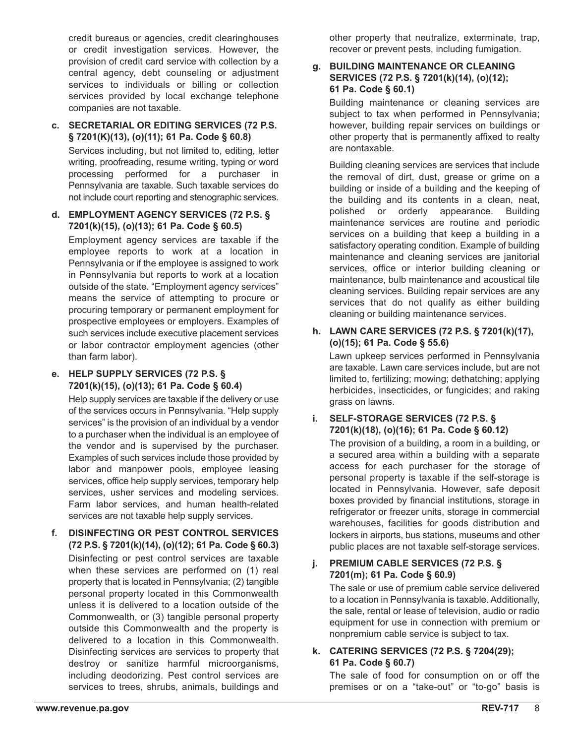credit bureaus or agencies, credit clearinghouses or credit investigation services. However, the provision of credit card service with collection by a central agency, debt counseling or adjustment services to individuals or billing or collection services provided by local exchange telephone companies are not taxable.

# **c. SECRETARIAL OR EDITING SERVICES (72 P.S. § 7201(K)(13), (o)(11); 61 Pa. Code § 60.8)**

Services including, but not limited to, editing, letter writing, proofreading, resume writing, typing or word processing performed for a purchaser in Pennsylvania are taxable. Such taxable services do not include court reporting and stenographic services.

#### **d. EMPLOYMENT AGENCY SERVICES (72 P.S. § 7201(k)(15), (o)(13); 61 Pa. Code § 60.5)**

Employment agency services are taxable if the employee reports to work at a location in Pennsylvania or if the employee is assigned to work in Pennsylvania but reports to work at a location outside of the state. "Employment agency services" means the service of attempting to procure or procuring temporary or permanent employment for prospective employees or employers. Examples of such services include executive placement services or labor contractor employment agencies (other than farm labor).

#### **e. HELP SUPPLY SERVICES (72 P.S. § 7201(k)(15), (o)(13); 61 Pa. Code § 60.4)**

Help supply services are taxable if the delivery or use of the services occurs in Pennsylvania. "Help supply services" is the provision of an individual by a vendor to a purchaser when the individual is an employee of the vendor and is supervised by the purchaser. Examples of such services include those provided by labor and manpower pools, employee leasing services, office help supply services, temporary help services, usher services and modeling services. Farm labor services, and human health-related services are not taxable help supply services.

**f. DISINFECTING OR PEST CONTROL SERVICES (72 P.S. § 7201(k)(14), (o)(12); 61 Pa. Code § 60.3)** Disinfecting or pest control services are taxable when these services are performed on (1) real property that is located in Pennsylvania; (2) tangible personal property located in this Commonwealth unless it is delivered to a location outside of the Commonwealth, or (3) tangible personal property outside this Commonwealth and the property is delivered to a location in this Commonwealth. Disinfecting services are services to property that destroy or sanitize harmful microorganisms, including deodorizing. Pest control services are services to trees, shrubs, animals, buildings and

other property that neutralize, exterminate, trap, recover or prevent pests, including fumigation.

#### **g. BUILDING MAINTENANCE OR CLEANING SERVICES (72 P.S. § 7201(k)(14), (o)(12); 61 Pa. Code § 60.1)**

Building maintenance or cleaning services are subject to tax when performed in Pennsylvania; however, building repair services on buildings or other property that is permanently affixed to realty are nontaxable.

Building cleaning services are services that include the removal of dirt, dust, grease or grime on a building or inside of a building and the keeping of the building and its contents in a clean, neat, polished or orderly appearance. Building maintenance services are routine and periodic services on a building that keep a building in a satisfactory operating condition. Example of building maintenance and cleaning services are janitorial services, office or interior building cleaning or maintenance, bulb maintenance and acoustical tile cleaning services. Building repair services are any services that do not qualify as either building cleaning or building maintenance services.

### **h. LAWN CARE SERVICES (72 P.S. § 7201(k)(17), (o)(15); 61 Pa. Code § 55.6)**

Lawn upkeep services performed in Pennsylvania are taxable. Lawn care services include, but are not limited to, fertilizing; mowing; dethatching; applying herbicides, insecticides, or fungicides; and raking grass on lawns.

### **i. SELF-STORAGE SERVICES (72 P.S. § 7201(k)(18), (o)(16); 61 Pa. Code § 60.12)**

The provision of a building, a room in a building, or a secured area within a building with a separate access for each purchaser for the storage of personal property is taxable if the self-storage is located in Pennsylvania. However, safe deposit boxes provided by financial institutions, storage in refrigerator or freezer units, storage in commercial warehouses, facilities for goods distribution and lockers in airports, bus stations, museums and other public places are not taxable self-storage services.

### **j. PREMIUM CABLE SERVICES (72 P.S. § 7201(m); 61 Pa. Code § 60.9)**

The sale or use of premium cable service delivered to a location in Pennsylvania is taxable. Additionally, the sale, rental or lease of television, audio or radio equipment for use in connection with premium or nonpremium cable service is subject to tax.

### **k. CATERING SERVICES (72 P.S. § 7204(29); 61 Pa. Code § 60.7)**

The sale of food for consumption on or off the premises or on a "take-out" or "to-go" basis is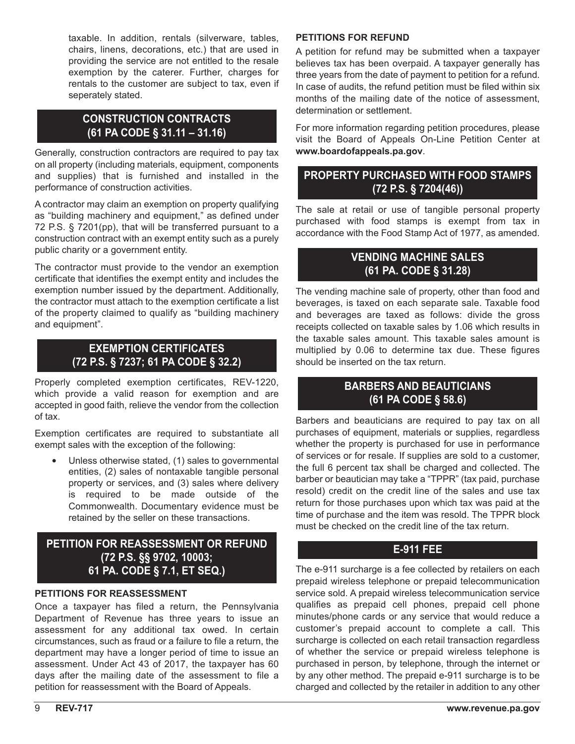taxable. In addition, rentals (silverware, tables, chairs, linens, decorations, etc.) that are used in providing the service are not entitled to the resale exemption by the caterer. Further, charges for rentals to the customer are subject to tax, even if seperately stated.

## **CONSTRUCTION CONTRACTS (61 PA CODE § 31.11 – 31.16)**

Generally, construction contractors are required to pay tax on all property (including materials, equipment, components and supplies) that is furnished and installed in the performance of construction activities.

A contractor may claim an exemption on property qualifying as "building machinery and equipment," as defined under 72 P.S. § 7201(pp), that will be transferred pursuant to a construction contract with an exempt entity such as a purely public charity or a government entity.

The contractor must provide to the vendor an exemption certificate that identifies the exempt entity and includes the exemption number issued by the department. Additionally, the contractor must attach to the exemption certificate a list of the property claimed to qualify as "building machinery and equipment".

# **EXEMPTION CERTIFICATES (72 P.S. § 7237; 61 PA CODE § 32.2)**

Properly completed exemption certificates, REV-1220, which provide a valid reason for exemption and are accepted in good faith, relieve the vendor from the collection of tax.

Exemption certificates are required to substantiate all exempt sales with the exception of the following:

Unless otherwise stated, (1) sales to governmental entities, (2) sales of nontaxable tangible personal property or services, and (3) sales where delivery is required to be made outside of the Commonwealth. Documentary evidence must be retained by the seller on these transactions.

# **PETITION FOR REASSESSMENT OR REFUND (72 P.S. §§ 9702, 10003; 61 PA. CODE § 7.1, ET SEQ.)**

### **PETITIONS FOR REASSESSMENT**

Once a taxpayer has filed a return, the Pennsylvania Department of Revenue has three years to issue an assessment for any additional tax owed. In certain circumstances, such as fraud or a failure to file a return, the department may have a longer period of time to issue an assessment. Under Act 43 of 2017, the taxpayer has 60 days after the mailing date of the assessment to file a petition for reassessment with the Board of Appeals.

#### **PETITIONS FOR REFUND**

A petition for refund may be submitted when a taxpayer believes tax has been overpaid. A taxpayer generally has three years from the date of payment to petition for a refund. In case of audits, the refund petition must be filed within six months of the mailing date of the notice of assessment, determination or settlement.

For more information regarding petition procedures, please visit the Board of Appeals On-Line Petition Center at **www.boardofappeals.pa.gov**.

# **PROPERTY PURCHASED WITH FOOD STAMPS (72 P.S. § 7204(46))**

The sale at retail or use of tangible personal property purchased with food stamps is exempt from tax in accordance with the Food Stamp Act of 1977, as amended.

## **VENDING MACHINE SALES (61 PA. CODE § 31.28)**

The vending machine sale of property, other than food and beverages, is taxed on each separate sale. Taxable food and beverages are taxed as follows: divide the gross receipts collected on taxable sales by 1.06 which results in the taxable sales amount. This taxable sales amount is multiplied by 0.06 to determine tax due. These figures should be inserted on the tax return.

## **BARBERS AND BEAUTICIANS (61 PA CODE § 58.6)**

Barbers and beauticians are required to pay tax on all purchases of equipment, materials or supplies, regardless whether the property is purchased for use in performance of services or for resale. If supplies are sold to a customer, the full 6 percent tax shall be charged and collected. The barber or beautician may take a "TPPR" (tax paid, purchase resold) credit on the credit line of the sales and use tax return for those purchases upon which tax was paid at the time of purchase and the item was resold. The TPPR block must be checked on the credit line of the tax return.

## **E-911 FEE**

The e-911 surcharge is a fee collected by retailers on each prepaid wireless telephone or prepaid telecommunication service sold. A prepaid wireless telecommunication service qualifies as prepaid cell phones, prepaid cell phone minutes/phone cards or any service that would reduce a customer's prepaid account to complete a call. This surcharge is collected on each retail transaction regardless of whether the service or prepaid wireless telephone is purchased in person, by telephone, through the internet or by any other method. The prepaid e-911 surcharge is to be charged and collected by the retailer in addition to any other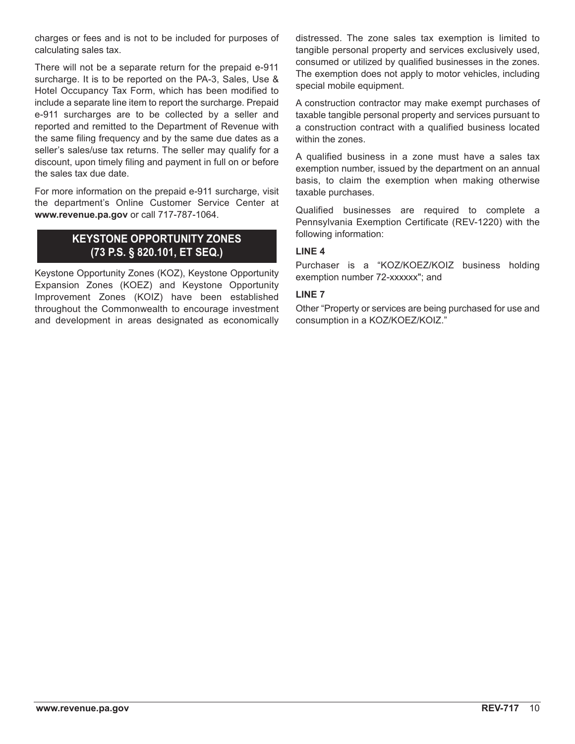charges or fees and is not to be included for purposes of calculating sales tax.

There will not be a separate return for the prepaid e-911 surcharge. It is to be reported on the PA-3, Sales, Use & Hotel Occupancy Tax Form, which has been modified to include a separate line item to report the surcharge. Prepaid e-911 surcharges are to be collected by a seller and reported and remitted to the Department of Revenue with the same filing frequency and by the same due dates as a seller's sales/use tax returns. The seller may qualify for a discount, upon timely filing and payment in full on or before the sales tax due date.

For more information on the prepaid e-911 surcharge, visit the department's Online Customer Service Center at **www.revenue.pa.gov** or call 717-787-1064.

# **KEYSTONE OPPORTUNITY ZONES (73 P.S. § 820.101, ET SEQ.)**

Keystone Opportunity Zones (KOZ), Keystone Opportunity Expansion Zones (KOEZ) and Keystone Opportunity Improvement Zones (KOIZ) have been established throughout the Commonwealth to encourage investment and development in areas designated as economically distressed. The zone sales tax exemption is limited to tangible personal property and services exclusively used, consumed or utilized by qualified businesses in the zones. The exemption does not apply to motor vehicles, including special mobile equipment.

A construction contractor may make exempt purchases of taxable tangible personal property and services pursuant to a construction contract with a qualified business located within the zones.

A qualified business in a zone must have a sales tax exemption number, issued by the department on an annual basis, to claim the exemption when making otherwise taxable purchases.

Qualified businesses are required to complete a Pennsylvania Exemption Certificate (REV-1220) with the following information:

### **LINE 4**

Purchaser is a "KOZ/KOEZ/KOIZ business holding exemption number 72-xxxxxx"; and

### **LINE 7**

Other "Property or services are being purchased for use and consumption in a KOZ/KOEZ/KOIZ."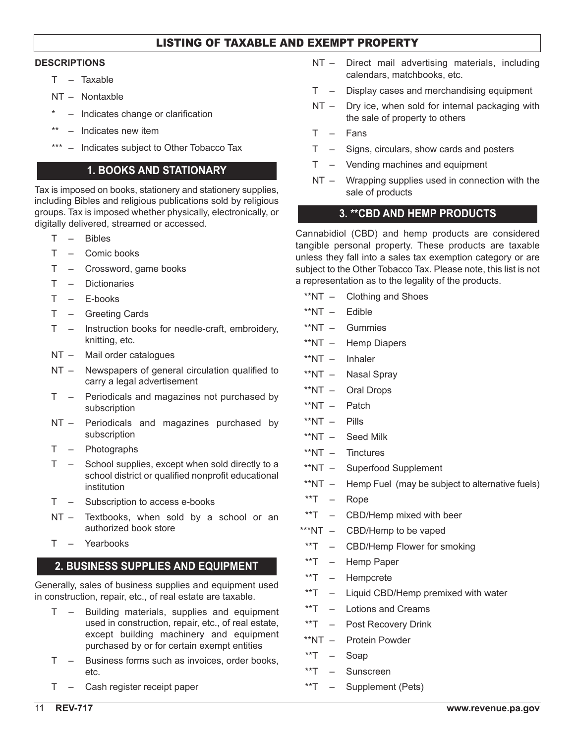## LISTING OF TAXABLE AND EXEMPT PROPERTY

#### **DESCRIPTIONS**

- T Taxable
- NT Nontaxble
- Indicates change or clarification
- \*\* Indicates new item
- \*\*\* Indicates subject to Other Tobacco Tax

## **1. BOOKS AND STATIONARY**

Tax is imposed on books, stationery and stationery supplies, including Bibles and religious publications sold by religious groups. Tax is imposed whether physically, electronically, or digitally delivered, streamed or accessed.

- T Bibles
- T Comic books
- T Crossword, game books
- T Dictionaries
- T E-books
- T Greeting Cards
- T Instruction books for needle-craft, embroidery, knitting, etc.
- NT Mail order catalogues
- NT Newspapers of general circulation qualified to carry a legal advertisement
- T Periodicals and magazines not purchased by subscription
- NT Periodicals and magazines purchased by subscription
- T Photographs
- T School supplies, except when sold directly to a school district or qualified nonprofit educational institution
- T Subscription to access e-books
- NT Textbooks, when sold by a school or an authorized book store
- T Yearbooks

## **2. BUSINESS SUPPLIES AND EQUIPMENT**

Generally, sales of business supplies and equipment used in construction, repair, etc., of real estate are taxable.

- T Building materials, supplies and equipment used in construction, repair, etc., of real estate, except building machinery and equipment purchased by or for certain exempt entities
- T Business forms such as invoices, order books, etc.
- T Cash register receipt paper
- NT Direct mail advertising materials, including calendars, matchbooks, etc.
- T Display cases and merchandising equipment
- NT Dry ice, when sold for internal packaging with the sale of property to others
- T Fans
- T Signs, circulars, show cards and posters
- T Vending machines and equipment
- NT Wrapping supplies used in connection with the sale of products

### **3. \*\*CBD AND HEMP PRODUCTS**

Cannabidiol (CBD) and hemp products are considered tangible personal property. These products are taxable unless they fall into a sales tax exemption category or are subject to the Other Tobacco Tax. Please note, this list is not a representation as to the legality of the products.

- \*\*NT Clothing and Shoes
- \*\*NT Edible
- \*\*NT Gummies
- \*\*NT Hemp Diapers
- \*\*NT Inhaler
- \*\*NT Nasal Spray
- \*\*NT Oral Drops
- \*\*NT Patch
- \*\*NT Pills
- \*\*NT Seed Milk
- \*\*NT Tinctures
- \*\*NT Superfood Supplement
- \*\*NT Hemp Fuel (may be subject to alternative fuels)
- \*\*T Rope
- \*\*T CBD/Hemp mixed with beer
- \*\*\*NT CBD/Hemp to be vaped
- \*\*T CBD/Hemp Flower for smoking
- \*\*T Hemp Paper
- \*\*T Hempcrete
- \*\*T Liquid CBD/Hemp premixed with water
- \*\*T Lotions and Creams
- \*\*T Post Recovery Drink
- \*\*NT Protein Powder
- \*\*T Soap
- \*\*T Sunscreen
- \*\*T Supplement (Pets)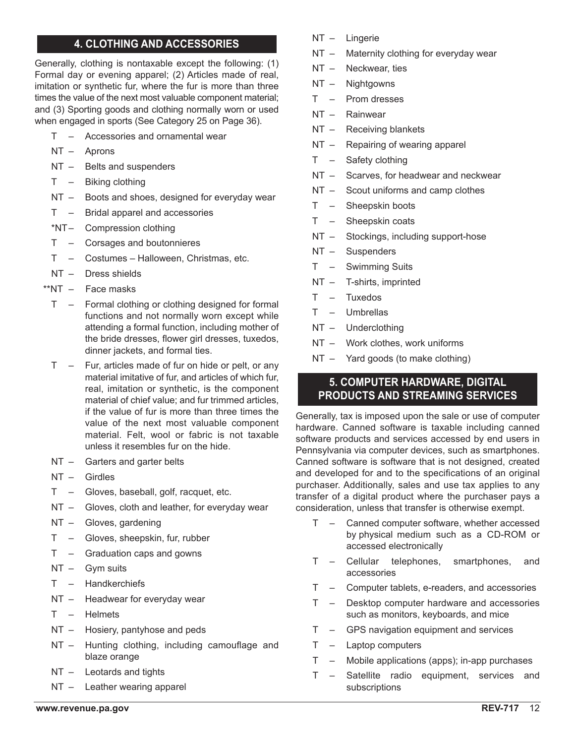## **4. CLOTHING AND ACCESSORIES**

Generally, clothing is nontaxable except the following: (1) Formal day or evening apparel; (2) Articles made of real, imitation or synthetic fur, where the fur is more than three times the value of the next most valuable component material; and (3) Sporting goods and clothing normally worn or used when engaged in sports (See Category 25 on Page 36).

- T Accessories and ornamental wear
- NT Aprons
- NT Belts and suspenders
- T Biking clothing
- NT Boots and shoes, designed for everyday wear
- T Bridal apparel and accessories
- \*NT– Compression clothing
- T Corsages and boutonnieres
- T Costumes Halloween, Christmas, etc.
- NT Dress shields
- \*\*NT Face masks
	- T Formal clothing or clothing designed for formal functions and not normally worn except while attending a formal function, including mother of the bride dresses, flower girl dresses, tuxedos, dinner jackets, and formal ties.
- T Fur, articles made of fur on hide or pelt, or any material imitative of fur, and articles of which fur, real, imitation or synthetic, is the component material of chief value; and fur trimmed articles, if the value of fur is more than three times the value of the next most valuable component material. Felt, wool or fabric is not taxable unless it resembles fur on the hide.
- NT Garters and garter belts
- NT Girdles
- T Gloves, baseball, golf, racquet, etc.
- NT Gloves, cloth and leather, for everyday wear
- NT Gloves, gardening
- T Gloves, sheepskin, fur, rubber
- T Graduation caps and gowns
- NT Gym suits
- T Handkerchiefs
- NT Headwear for everyday wear
- T Helmets
- NT Hosiery, pantyhose and peds
- NT Hunting clothing, including camouflage and blaze orange
- NT Leotards and tights
- NT Leather wearing apparel
- NT Lingerie
- NT Maternity clothing for everyday wear
- NT Neckwear, ties
- NT Nightgowns
- T Prom dresses
- NT Rainwear
- NT Receiving blankets
- NT Repairing of wearing apparel
- T Safety clothing
- NT Scarves, for headwear and neckwear
- NT Scout uniforms and camp clothes
- T Sheepskin boots
- T Sheepskin coats
- NT Stockings, including support-hose
- NT Suspenders
- T Swimming Suits
- NT T-shirts, imprinted
- T Tuxedos
- T Umbrellas
- NT Underclothing
- NT Work clothes, work uniforms
- NT Yard goods (to make clothing)

## **5. COMPUTER HARDWARE, DIGITAL PRODUCTS AND STREAMING SERVICES**

Generally, tax is imposed upon the sale or use of computer hardware. Canned software is taxable including canned software products and services accessed by end users in Pennsylvania via computer devices, such as smartphones. Canned software is software that is not designed, created and developed for and to the specifications of an original purchaser. Additionally, sales and use tax applies to any transfer of a digital product where the purchaser pays a consideration, unless that transfer is otherwise exempt.

- T Canned computer software, whether accessed by physical medium such as a CD-ROM or accessed electronically
- T Cellular telephones, smartphones, and accessories
- T Computer tablets, e-readers, and accessories
- T Desktop computer hardware and accessories such as monitors, keyboards, and mice
- T GPS navigation equipment and services
- T Laptop computers
- T Mobile applications (apps); in-app purchases
- T Satellite radio equipment, services and subscriptions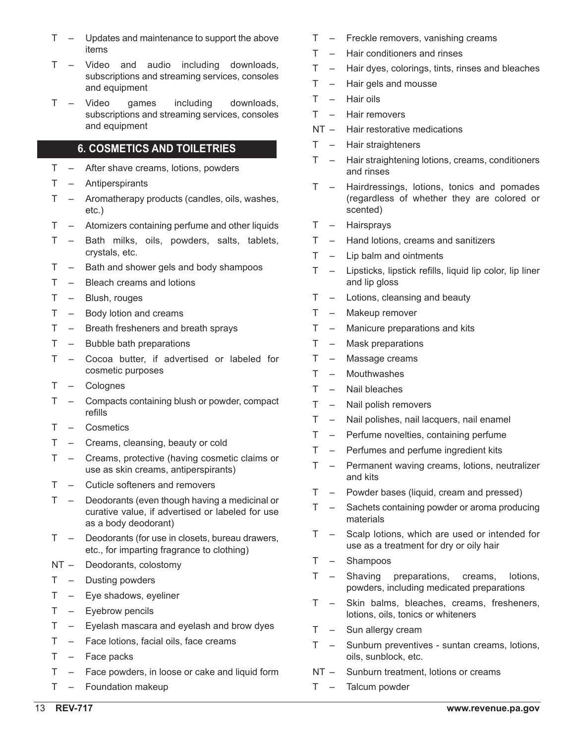- T Updates and maintenance to support the above items
- T Video and audio including downloads, subscriptions and streaming services, consoles and equipment
- T Video games including downloads, subscriptions and streaming services, consoles and equipment

## **6. COSMETICS AND TOILETRIES**

- T After shave creams, lotions, powders
- T Antiperspirants
- T Aromatherapy products (candles, oils, washes, etc.)
- T Atomizers containing perfume and other liquids
- T Bath milks, oils, powders, salts, tablets, crystals, etc.
- T Bath and shower gels and body shampoos
- T Bleach creams and lotions
- T Blush, rouges
- T Body lotion and creams
- T Breath fresheners and breath sprays
- T Bubble bath preparations
- T Cocoa butter, if advertised or labeled for cosmetic purposes
- T Colognes
- T Compacts containing blush or powder, compact refills
- T Cosmetics
- T Creams, cleansing, beauty or cold
- T Creams, protective (having cosmetic claims or use as skin creams, antiperspirants)
- T Cuticle softeners and removers
- T Deodorants (even though having a medicinal or curative value, if advertised or labeled for use as a body deodorant)
- T Deodorants (for use in closets, bureau drawers, etc., for imparting fragrance to clothing)
- NT Deodorants, colostomy
- T Dusting powders
- T Eye shadows, eyeliner
- T Eyebrow pencils
- T Eyelash mascara and eyelash and brow dyes
- T Face lotions, facial oils, face creams
- T Face packs
- T Face powders, in loose or cake and liquid form
- T Foundation makeup
- T Freckle removers, vanishing creams
- T Hair conditioners and rinses
- T Hair dyes, colorings, tints, rinses and bleaches
- T Hair gels and mousse
- T Hair oils
- T Hair removers
- NT Hair restorative medications
- T Hair straighteners
- T Hair straightening lotions, creams, conditioners and rinses
- T Hairdressings, lotions, tonics and pomades (regardless of whether they are colored or scented)
- T Hairsprays
- T Hand lotions, creams and sanitizers
- T Lip balm and ointments
- T Lipsticks, lipstick refills, liquid lip color, lip liner and lip gloss
- T Lotions, cleansing and beauty
- T Makeup remover
- T Manicure preparations and kits
- T Mask preparations
- T Massage creams
- T Mouthwashes
- T Nail bleaches
- T Nail polish removers
- T Nail polishes, nail lacquers, nail enamel
- T Perfume novelties, containing perfume
- T Perfumes and perfume ingredient kits
- T Permanent waving creams, lotions, neutralizer and kits
- T Powder bases (liquid, cream and pressed)
- T Sachets containing powder or aroma producing materials
- T Scalp lotions, which are used or intended for use as a treatment for dry or oily hair
- T Shampoos
- T Shaving preparations, creams, lotions, powders, including medicated preparations
- T Skin balms, bleaches, creams, fresheners, lotions, oils, tonics or whiteners
- T Sun allergy cream
- T Sunburn preventives suntan creams, lotions, oils, sunblock, etc.
- NT Sunburn treatment, lotions or creams
- T Talcum powder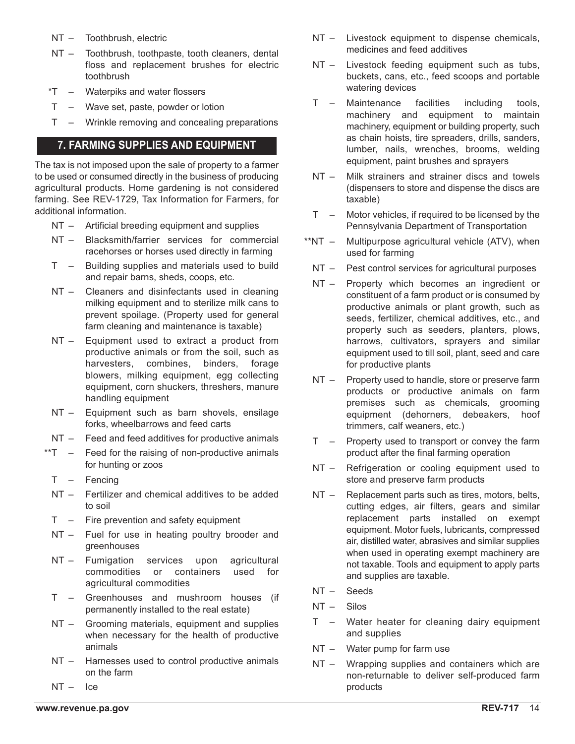- NT Toothbrush, electric
- NT Toothbrush, toothpaste, tooth cleaners, dental floss and replacement brushes for electric toothbrush
- \*T Waterpiks and water flossers
- T Wave set, paste, powder or lotion
- T Wrinkle removing and concealing preparations

### **7. FARMING SUPPLIES AND EQUIPMENT**

The tax is not imposed upon the sale of property to a farmer to be used or consumed directly in the business of producing agricultural products. Home gardening is not considered farming. See REV-1729, Tax Information for Farmers, for additional information.

- NT Artificial breeding equipment and supplies
- NT Blacksmith/farrier services for commercial racehorses or horses used directly in farming
- T Building supplies and materials used to build and repair barns, sheds, coops, etc.
- NT Cleaners and disinfectants used in cleaning milking equipment and to sterilize milk cans to prevent spoilage. (Property used for general farm cleaning and maintenance is taxable)
- NT Equipment used to extract a product from productive animals or from the soil, such as harvesters, combines, binders, forage blowers, milking equipment, egg collecting equipment, corn shuckers, threshers, manure handling equipment
- NT Equipment such as barn shovels, ensilage forks, wheelbarrows and feed carts
- NT Feed and feed additives for productive animals
- \*\*T Feed for the raising of non-productive animals for hunting or zoos
	- T Fencing
	- NT Fertilizer and chemical additives to be added to soil
	- T Fire prevention and safety equipment
	- NT Fuel for use in heating poultry brooder and greenhouses
	- NT Fumigation services upon agricultural commodities or containers used for agricultural commodities
	- T Greenhouses and mushroom houses (if permanently installed to the real estate)
	- NT Grooming materials, equipment and supplies when necessary for the health of productive animals
	- NT Harnesses used to control productive animals on the farm
	- NT Ice
- NT Livestock equipment to dispense chemicals, medicines and feed additives
- NT Livestock feeding equipment such as tubs, buckets, cans, etc., feed scoops and portable watering devices
- T Maintenance facilities including tools, machinery and equipment to maintain machinery, equipment or building property, such as chain hoists, tire spreaders, drills, sanders, lumber, nails, wrenches, brooms, welding equipment, paint brushes and sprayers
- NT Milk strainers and strainer discs and towels (dispensers to store and dispense the discs are taxable)
- T Motor vehicles, if required to be licensed by the Pennsylvania Department of Transportation
- \*\*NT Multipurpose agricultural vehicle (ATV), when used for farming
	- NT Pest control services for agricultural purposes
	- NT Property which becomes an ingredient or constituent of a farm product or is consumed by productive animals or plant growth, such as seeds, fertilizer, chemical additives, etc., and property such as seeders, planters, plows, harrows, cultivators, sprayers and similar equipment used to till soil, plant, seed and care for productive plants
	- NT Property used to handle, store or preserve farm products or productive animals on farm premises such as chemicals, grooming equipment (dehorners, debeakers, hoof trimmers, calf weaners, etc.)
	- T Property used to transport or convey the farm product after the final farming operation
	- NT Refrigeration or cooling equipment used to store and preserve farm products
	- NT Replacement parts such as tires, motors, belts, cutting edges, air filters, gears and similar replacement parts installed on exempt equipment. Motor fuels, lubricants, compressed air, distilled water, abrasives and similar supplies when used in operating exempt machinery are not taxable. Tools and equipment to apply parts and supplies are taxable.
	- NT Seeds
	- NT Silos
	- T Water heater for cleaning dairy equipment and supplies
	- NT Water pump for farm use
	- NT Wrapping supplies and containers which are non-returnable to deliver self-produced farm products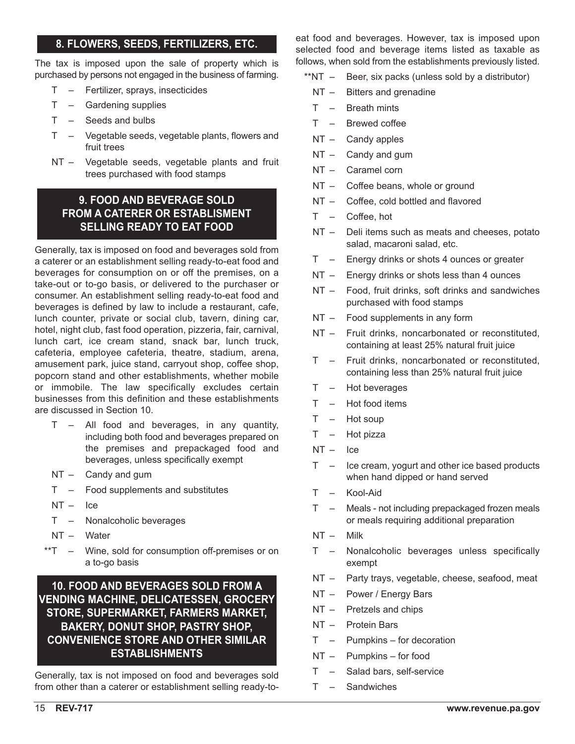## **8. FLOWERS, SEEDS, FERTILIZERS, ETC.**

The tax is imposed upon the sale of property which is purchased by persons not engaged in the business of farming.

- T Fertilizer, sprays, insecticides
- T Gardening supplies
- T Seeds and bulbs
- T Vegetable seeds, vegetable plants, flowers and fruit trees
- NT Vegetable seeds, vegetable plants and fruit trees purchased with food stamps

# **9. FOOD AND BEVERAGE SOLD FROM A CATERER OR ESTABLISMENT SELLING READY TO EAT FOOD**

Generally, tax is imposed on food and beverages sold from a caterer or an establishment selling ready-to-eat food and beverages for consumption on or off the premises, on a take-out or to-go basis, or delivered to the purchaser or consumer. An establishment selling ready-to-eat food and beverages is defined by law to include a restaurant, cafe, lunch counter, private or social club, tavern, dining car, hotel, night club, fast food operation, pizzeria, fair, carnival, lunch cart, ice cream stand, snack bar, lunch truck, cafeteria, employee cafeteria, theatre, stadium, arena, amusement park, juice stand, carryout shop, coffee shop, popcorn stand and other establishments, whether mobile or immobile. The law specifically excludes certain businesses from this definition and these establishments are discussed in Section 10.

- T All food and beverages, in any quantity, including both food and beverages prepared on the premises and prepackaged food and beverages, unless specifically exempt
- NT Candy and gum
- T Food supplements and substitutes
- NT Ice
- T Nonalcoholic beverages
- NT Water
- \*\*T Wine, sold for consumption off-premises or on a to-go basis

# **10. FOOD AND BEVERAGES SOLD FROM A VENDING MACHINE, DELICATESSEN, GROCERY STORE, SUPERMARKET, FARMERS MARKET, BAKERY, DONUT SHOP, PASTRY SHOP, CONVENIENCE STORE AND OTHER SIMILAR ESTABLISHMENTS**

Generally, tax is not imposed on food and beverages sold from other than a caterer or establishment selling ready-toeat food and beverages. However, tax is imposed upon selected food and beverage items listed as taxable as follows, when sold from the establishments previously listed.

- \*\*NT Beer, six packs (unless sold by a distributor)
	- NT Bitters and grenadine
	- T Breath mints
	- T Brewed coffee
	- NT Candy apples
	- NT Candy and gum
	- NT Caramel corn
	- NT Coffee beans, whole or ground
	- NT Coffee, cold bottled and flavored
	- T Coffee, hot
	- NT Deli items such as meats and cheeses, potato salad, macaroni salad, etc.
	- T Energy drinks or shots 4 ounces or greater
	- NT Energy drinks or shots less than 4 ounces
	- NT Food, fruit drinks, soft drinks and sandwiches purchased with food stamps
	- NT Food supplements in any form
	- NT Fruit drinks, noncarbonated or reconstituted, containing at least 25% natural fruit juice
	- T Fruit drinks, noncarbonated or reconstituted, containing less than 25% natural fruit juice
	- T Hot beverages
	- T Hot food items
	- T Hot soup
	- T Hot pizza
	- $NT -$  Ice
	- $T -$  Ice cream, yogurt and other ice based products when hand dipped or hand served
	- T Kool-Aid
	- T Meals not including prepackaged frozen meals or meals requiring additional preparation
	- NT Milk
	- T Nonalcoholic beverages unless specifically exempt
	- NT Party trays, vegetable, cheese, seafood, meat
	- NT Power / Energy Bars
	- NT Pretzels and chips
	- NT Protein Bars
	- T Pumpkins for decoration
	- NT Pumpkins for food
	- T Salad bars, self-service
	- T Sandwiches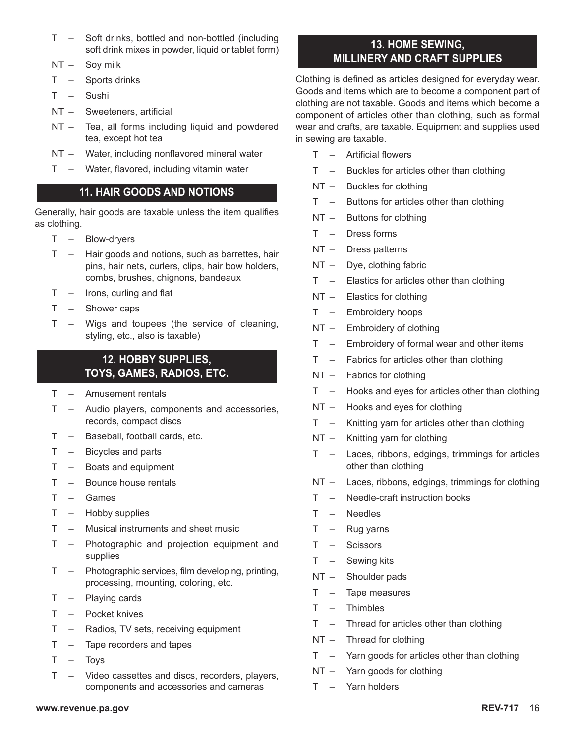- T Soft drinks, bottled and non-bottled (including soft drink mixes in powder, liquid or tablet form)
- NT Soy milk
- T Sports drinks
- T Sushi
- NT Sweeteners, artificial
- NT Tea, all forms including liquid and powdered tea, except hot tea
- NT Water, including nonflavored mineral water
- T Water, flavored, including vitamin water

# **11. HAIR GOODS AND NOTIONS**

Generally, hair goods are taxable unless the item qualifies as clothing.

- T Blow-dryers
- T Hair goods and notions, such as barrettes, hair pins, hair nets, curlers, clips, hair bow holders, combs, brushes, chignons, bandeaux
- T Irons, curling and flat
- T Shower caps
- T Wigs and toupees (the service of cleaning, styling, etc., also is taxable)

# **12. HOBBY SUPPLIES, TOYS, GAMES, RADIOS, ETC.**

- T Amusement rentals
- T Audio players, components and accessories, records, compact discs
- T Baseball, football cards, etc.
- T Bicycles and parts
- T Boats and equipment
- T Bounce house rentals
- T Games
- T Hobby supplies
- T Musical instruments and sheet music
- T Photographic and projection equipment and supplies
- T Photographic services, film developing, printing, processing, mounting, coloring, etc.
- T Playing cards
- T Pocket knives
- T Radios, TV sets, receiving equipment
- T Tape recorders and tapes
- T Toys
- T Video cassettes and discs, recorders, players, components and accessories and cameras

# **13. HOME SEWING, MILLINERY AND CRAFT SUPPLIES**

Clothing is defined as articles designed for everyday wear. Goods and items which are to become a component part of clothing are not taxable. Goods and items which become a component of articles other than clothing, such as formal wear and crafts, are taxable. Equipment and supplies used in sewing are taxable.

- T Artificial flowers
- T Buckles for articles other than clothing
- NT Buckles for clothing
- T Buttons for articles other than clothing
- NT Buttons for clothing
- T Dress forms
- NT Dress patterns
- NT Dye, clothing fabric
- T Elastics for articles other than clothing
- NT Elastics for clothing
- T Embroidery hoops
- NT Embroidery of clothing
- T Embroidery of formal wear and other items
- T Fabrics for articles other than clothing
- NT Fabrics for clothing
- T Hooks and eyes for articles other than clothing
- NT Hooks and eyes for clothing
- T Knitting yarn for articles other than clothing
- NT Knitting yarn for clothing
- T Laces, ribbons, edgings, trimmings for articles other than clothing
- NT Laces, ribbons, edgings, trimmings for clothing
- T Needle-craft instruction books
- T Needles
- $T -$ Rug yarns
- T Scissors
- T Sewing kits
- NT Shoulder pads
- T Tape measures
- T Thimbles
- T Thread for articles other than clothing
- NT Thread for clothing
- T Yarn goods for articles other than clothing
- NT Yarn goods for clothing
- T Yarn holders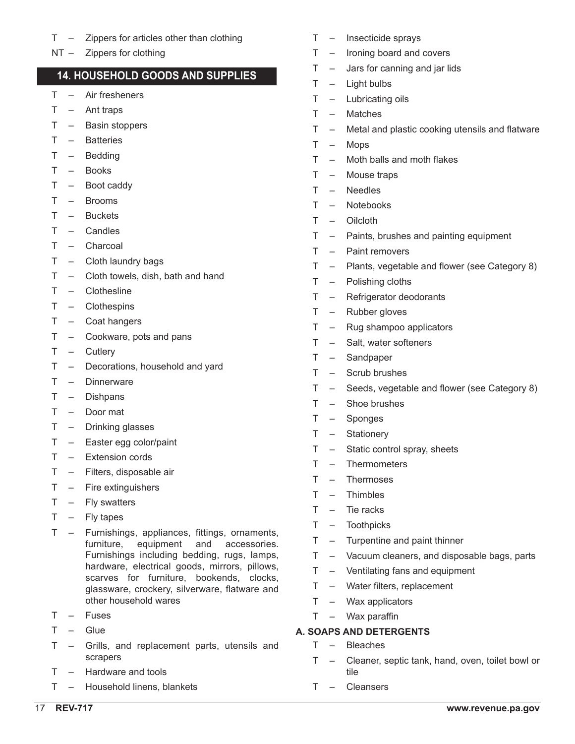- T Zippers for articles other than clothing
- NT Zippers for clothing

## **14. HOUSEHOLD GOODS AND SUPPLIES**

- T Air fresheners
- $T Ant$  traps
- T Basin stoppers
- T Batteries
- T Bedding
- T Books
- T Boot caddy
- T Brooms
- T Buckets
- T Candles
- T Charcoal
- T Cloth laundry bags
- T Cloth towels, dish, bath and hand
- T Clothesline
- T Clothespins
- T Coat hangers
- T Cookware, pots and pans
- T Cutlery
- T Decorations, household and yard
- T Dinnerware
- T Dishpans
- T Door mat
- T Drinking glasses
- T Easter egg color/paint
- T Extension cords
- T Filters, disposable air
- T Fire extinguishers
- T Fly swatters
- T Fly tapes
- T Furnishings, appliances, fittings, ornaments, furniture, equipment and accessories. Furnishings including bedding, rugs, lamps, hardware, electrical goods, mirrors, pillows, scarves for furniture, bookends, clocks, glassware, crockery, silverware, flatware and other household wares
- T Fuses
- T Glue
- T Grills, and replacement parts, utensils and scrapers
- T Hardware and tools
- T Household linens, blankets
- T Insecticide sprays
- T Ironing board and covers
- T Jars for canning and jar lids
- T Light bulbs
- T Lubricating oils
- T Matches
- T Metal and plastic cooking utensils and flatware
- T Mops
- T Moth balls and moth flakes
- T Mouse traps
- T Needles
- T Notebooks
- T Oilcloth
- T Paints, brushes and painting equipment
- T Paint removers
- T Plants, vegetable and flower (see Category 8)
- T Polishing cloths
- T Refrigerator deodorants
- T Rubber gloves
- T Rug shampoo applicators
- T Salt, water softeners
- T Sandpaper
- T Scrub brushes
- T Seeds, vegetable and flower (see Category 8)
- T Shoe brushes
- T Sponges
- T Stationery
- T Static control spray, sheets
- T Thermometers
- T Thermoses
- T Thimbles
- T Tie racks
- T Toothpicks
- T Turpentine and paint thinner
- T Vacuum cleaners, and disposable bags, parts
- T Ventilating fans and equipment
- T Water filters, replacement
- T Wax applicators
- T Wax paraffin

### **A. SOAPS AND DETERGENTS**

- T Bleaches
- T Cleaner, septic tank, hand, oven, toilet bowl or tile
- T Cleansers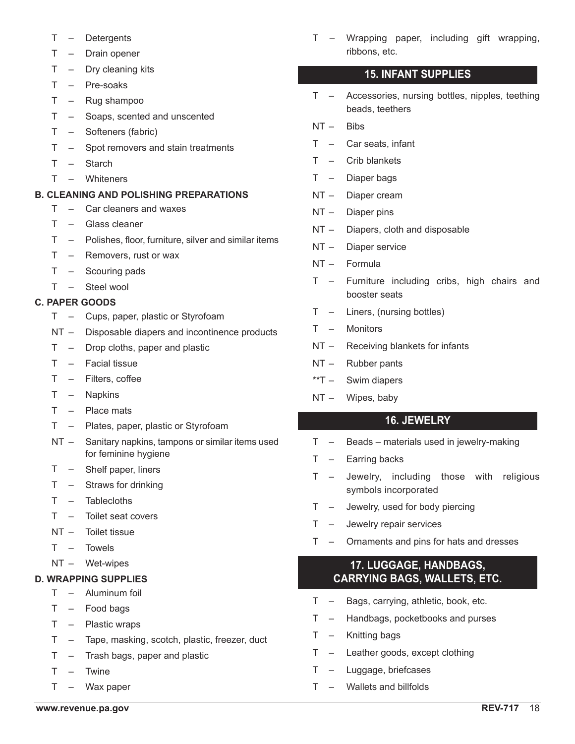- T Detergents
- T Drain opener
- T Dry cleaning kits
- T Pre-soaks
- T Rug shampoo
- T Soaps, scented and unscented
- T Softeners (fabric)
- T Spot removers and stain treatments
- T Starch
- T Whiteners

### **B. CLEANING AND POLISHING PREPARATIONS**

- T Car cleaners and waxes
- T Glass cleaner
- T Polishes, floor, furniture, silver and similar items
- T Removers, rust or wax
- T Scouring pads
- T Steel wool

### **C. PAPER GOODS**

- T Cups, paper, plastic or Styrofoam
- NT Disposable diapers and incontinence products
- T Drop cloths, paper and plastic
- T Facial tissue
- T Filters, coffee
- T Napkins
- T Place mats
- T Plates, paper, plastic or Styrofoam
- NT Sanitary napkins, tampons or similar items used for feminine hygiene
- T Shelf paper, liners
- T Straws for drinking
- T Tablecloths
- T Toilet seat covers
- NT Toilet tissue
- T Towels
- NT Wet-wipes

### **D. WRAPPING SUPPLIES**

- T Aluminum foil
- T Food bags
- T Plastic wraps
- T Tape, masking, scotch, plastic, freezer, duct
- T Trash bags, paper and plastic
- T Twine
- T Wax paper

T – Wrapping paper, including gift wrapping, ribbons, etc.

## **15. INFANT SUPPLIES**

- T Accessories, nursing bottles, nipples, teething beads, teethers
- NT Bibs
- T Car seats, infant
- T Crib blankets
- T Diaper bags
- NT Diaper cream
- NT Diaper pins
- NT Diapers, cloth and disposable
- NT Diaper service
- NT Formula
- T Furniture including cribs, high chairs and booster seats
- T Liners, (nursing bottles)
- T Monitors
- NT Receiving blankets for infants
- NT Rubber pants
- \*\*T Swim diapers
- NT Wipes, baby

## **16. JEWELRY**

- T Beads materials used in jewelry-making
- T Earring backs
- T Jewelry, including those with religious symbols incorporated
- T Jewelry, used for body piercing
- T Jewelry repair services
- T Ornaments and pins for hats and dresses

## **17. LUGGAGE, HANDBAGS, CARRYING BAGS, WALLETS, ETC.**

- T Bags, carrying, athletic, book, etc.
- T Handbags, pocketbooks and purses
- T Knitting bags
- T Leather goods, except clothing
- T Luggage, briefcases
- T Wallets and billfolds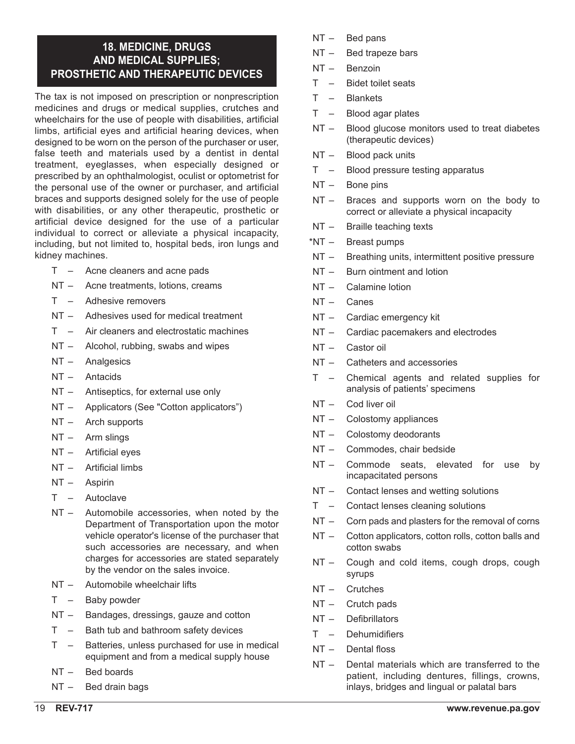## **18. MEDICINE, DRUGS AND MEDICAL SUPPLIES; PROSTHETIC AND THERAPEUTIC DEVICES**

The tax is not imposed on prescription or nonprescription medicines and drugs or medical supplies, crutches and wheelchairs for the use of people with disabilities, artificial limbs, artificial eyes and artificial hearing devices, when designed to be worn on the person of the purchaser or user, false teeth and materials used by a dentist in dental treatment, eyeglasses, when especially designed or prescribed by an ophthalmologist, oculist or optometrist for the personal use of the owner or purchaser, and artificial braces and supports designed solely for the use of people with disabilities, or any other therapeutic, prosthetic or artificial device designed for the use of a particular individual to correct or alleviate a physical incapacity, including, but not limited to, hospital beds, iron lungs and kidney machines.

- T Acne cleaners and acne pads
- NT Acne treatments, lotions, creams
- T Adhesive removers
- NT Adhesives used for medical treatment
- T Air cleaners and electrostatic machines
- NT Alcohol, rubbing, swabs and wipes
- NT Analgesics
- NT Antacids
- NT Antiseptics, for external use only
- NT Applicators (See "Cotton applicators")
- NT Arch supports
- NT Arm slings
- NT Artificial eyes
- NT Artificial limbs
- NT Aspirin
- T Autoclave
- NT Automobile accessories, when noted by the Department of Transportation upon the motor vehicle operator's license of the purchaser that such accessories are necessary, and when charges for accessories are stated separately by the vendor on the sales invoice.
- NT Automobile wheelchair lifts
- T Baby powder
- NT Bandages, dressings, gauze and cotton
- T Bath tub and bathroom safety devices
- T Batteries, unless purchased for use in medical equipment and from a medical supply house
- NT Bed boards
- NT Bed drain bags
- NT Bed pans
- NT Bed trapeze bars
- NT Benzoin
- T Bidet toilet seats
- T Blankets
- T Blood agar plates
- NT Blood glucose monitors used to treat diabetes (therapeutic devices)
- NT Blood pack units
- T Blood pressure testing apparatus
- NT Bone pins
- NT Braces and supports worn on the body to correct or alleviate a physical incapacity
- NT Braille teaching texts
- \*NT Breast pumps
- NT Breathing units, intermittent positive pressure
- NT Burn ointment and lotion
- NT Calamine lotion
- NT Canes
- NT Cardiac emergency kit
- NT Cardiac pacemakers and electrodes
- NT Castor oil
- NT Catheters and accessories
- T Chemical agents and related supplies for analysis of patients' specimens
- NT Cod liver oil
- NT Colostomy appliances
- NT Colostomy deodorants
- NT Commodes, chair bedside
- NT Commode seats, elevated for use by incapacitated persons
- NT Contact lenses and wetting solutions
- T Contact lenses cleaning solutions
- NT Corn pads and plasters for the removal of corns
- NT Cotton applicators, cotton rolls, cotton balls and cotton swabs
- NT Cough and cold items, cough drops, cough syrups
- NT Crutches
- NT Crutch pads
- NT Defibrillators
- T Dehumidifiers
- NT Dental floss
- NT Dental materials which are transferred to the patient, including dentures, fillings, crowns, inlays, bridges and lingual or palatal bars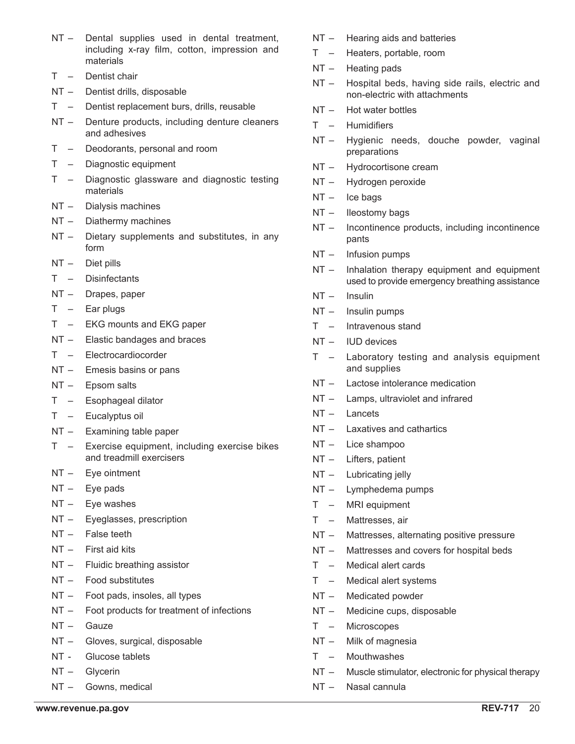- NT Dental supplies used in dental treatment, including x-ray film, cotton, impression and materials
- T Dentist chair
- NT Dentist drills, disposable
- T Dentist replacement burs, drills, reusable
- NT Denture products, including denture cleaners and adhesives
- T Deodorants, personal and room
- T Diagnostic equipment
- T Diagnostic glassware and diagnostic testing materials
- NT Dialysis machines
- NT Diathermy machines
- NT Dietary supplements and substitutes, in any form
- NT Diet pills
- T Disinfectants
- NT Drapes, paper
- T Ear plugs
- T EKG mounts and EKG paper
- NT Elastic bandages and braces
- T Electrocardiocorder
- NT Emesis basins or pans
- NT Epsom salts
- T Esophageal dilator
- T Eucalyptus oil
- NT Examining table paper
- T Exercise equipment, including exercise bikes and treadmill exercisers
- NT Eye ointment
- NT Eye pads
- NT Eye washes
- NT Eyeglasses, prescription
- NT False teeth
- NT First aid kits
- NT Fluidic breathing assistor
- NT Food substitutes
- NT Foot pads, insoles, all types
- NT Foot products for treatment of infections
- NT Gauze
- NT Gloves, surgical, disposable
- NT Glucose tablets
- NT Glycerin
- NT Gowns, medical
- NT Hearing aids and batteries
- T Heaters, portable, room
- NT Heating pads
- NT Hospital beds, having side rails, electric and non-electric with attachments
- NT Hot water bottles
- T Humidifiers
- NT Hygienic needs, douche powder, vaginal preparations
- NT Hydrocortisone cream
- NT Hydrogen peroxide
- NT Ice bags
- NT Ileostomy bags
- NT Incontinence products, including incontinence pants
- NT Infusion pumps
- NT Inhalation therapy equipment and equipment used to provide emergency breathing assistance
- NT Insulin
- NT Insulin pumps
- T Intravenous stand
- NT IUD devices
- T Laboratory testing and analysis equipment and supplies
- NT Lactose intolerance medication
- NT Lamps, ultraviolet and infrared
- NT Lancets
- NT Laxatives and cathartics
- NT Lice shampoo
- NT Lifters, patient
- NT Lubricating jelly
- NT Lymphedema pumps
- T MRI equipment
- T Mattresses, air
- NT Mattresses, alternating positive pressure
- NT Mattresses and covers for hospital beds
- T Medical alert cards
- T Medical alert systems
- NT Medicated powder
- NT Medicine cups, disposable
- T Microscopes
- NT Milk of magnesia
- T Mouthwashes
- NT Muscle stimulator, electronic for physical therapy
- NT Nasal cannula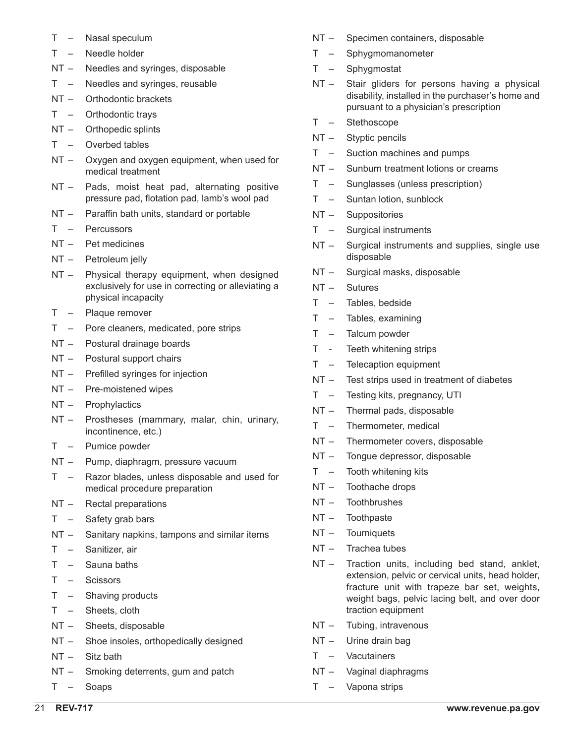- T Nasal speculum
- T Needle holder
- NT Needles and syringes, disposable
- T Needles and syringes, reusable
- NT Orthodontic brackets
- T Orthodontic trays
- NT Orthopedic splints
- T Overbed tables
- NT Oxygen and oxygen equipment, when used for medical treatment
- NT Pads, moist heat pad, alternating positive pressure pad, flotation pad, lamb's wool pad
- NT Paraffin bath units, standard or portable
- T Percussors
- NT Pet medicines
- NT Petroleum jelly
- NT Physical therapy equipment, when designed exclusively for use in correcting or alleviating a physical incapacity
- T Plaque remover
- T Pore cleaners, medicated, pore strips
- NT Postural drainage boards
- NT Postural support chairs
- NT Prefilled syringes for injection
- NT Pre-moistened wipes
- NT Prophylactics
- NT Prostheses (mammary, malar, chin, urinary, incontinence, etc.)
- T Pumice powder
- NT Pump, diaphragm, pressure vacuum
- T Razor blades, unless disposable and used for medical procedure preparation
- NT Rectal preparations
- T Safety grab bars
- NT Sanitary napkins, tampons and similar items
- T Sanitizer, air
- T Sauna baths
- T Scissors
- T Shaving products
- T Sheets, cloth
- NT Sheets, disposable
- NT Shoe insoles, orthopedically designed
- NT Sitz bath
- NT Smoking deterrents, gum and patch
- T Soaps
- NT Specimen containers, disposable
- T Sphygmomanometer
- T Sphygmostat
- NT Stair gliders for persons having a physical disability, installed in the purchaser's home and pursuant to a physician's prescription
- T Stethoscope
- NT Styptic pencils
- T Suction machines and pumps
- NT Sunburn treatment lotions or creams
- T Sunglasses (unless prescription)
- T Suntan lotion, sunblock
- NT Suppositories
- T Surgical instruments
- NT Surgical instruments and supplies, single use disposable
- NT Surgical masks, disposable
- NT Sutures
- T Tables, bedside
- T Tables, examining
- T Talcum powder
- T Teeth whitening strips
- T Telecaption equipment
- NT Test strips used in treatment of diabetes
- T Testing kits, pregnancy, UTI
- NT Thermal pads, disposable
- T Thermometer, medical
- NT Thermometer covers, disposable
- NT Tongue depressor, disposable
- T Tooth whitening kits
- NT Toothache drops
- NT Toothbrushes
- NT Toothpaste
- NT Tourniquets
- NT Trachea tubes
- NT Traction units, including bed stand, anklet, extension, pelvic or cervical units, head holder, fracture unit with trapeze bar set, weights, weight bags, pelvic lacing belt, and over door traction equipment
- NT Tubing, intravenous
- NT Urine drain bag
- T Vacutainers
- NT Vaginal diaphragms
- T Vapona strips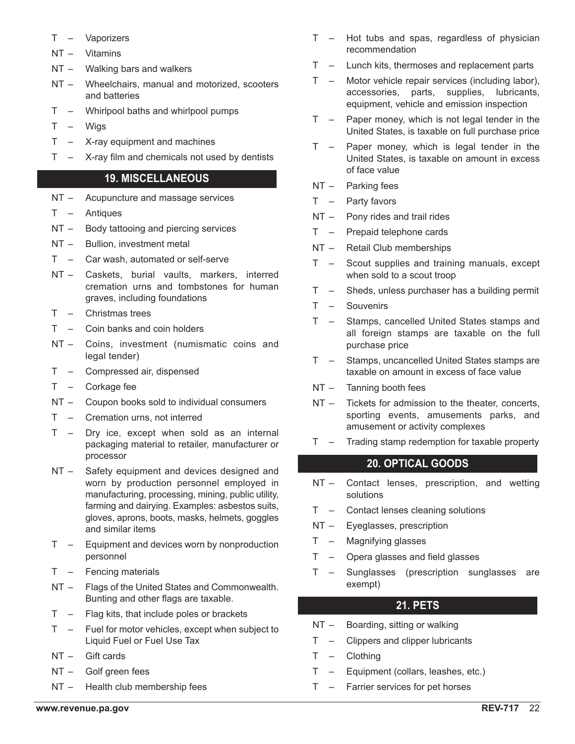- T Vaporizers
- NT Vitamins
- NT Walking bars and walkers
- NT Wheelchairs, manual and motorized, scooters and batteries
- T Whirlpool baths and whirlpool pumps
- T Wigs
- T X-ray equipment and machines
- $T X$ -ray film and chemicals not used by dentists

## **19. MISCELLANEOUS**

- NT Acupuncture and massage services
- T Antiques
- NT Body tattooing and piercing services
- NT Bullion, investment metal
- T Car wash, automated or self-serve
- NT Caskets, burial vaults, markers, interred cremation urns and tombstones for human graves, including foundations
- T Christmas trees
- T Coin banks and coin holders
- NT Coins, investment (numismatic coins and legal tender)
- T Compressed air, dispensed
- T Corkage fee
- NT Coupon books sold to individual consumers
- T Cremation urns, not interred
- T Dry ice, except when sold as an internal packaging material to retailer, manufacturer or processor
- NT Safety equipment and devices designed and worn by production personnel employed in manufacturing, processing, mining, public utility, farming and dairying. Examples: asbestos suits, gloves, aprons, boots, masks, helmets, goggles and similar items
- T Equipment and devices worn by nonproduction personnel
- T Fencing materials
- NT Flags of the United States and Commonwealth. Bunting and other flags are taxable.
- T Flag kits, that include poles or brackets
- T Fuel for motor vehicles, except when subject to Liquid Fuel or Fuel Use Tax
- NT Gift cards
- NT Golf green fees
- NT Health club membership fees
- T Hot tubs and spas, regardless of physician recommendation
- T Lunch kits, thermoses and replacement parts
- T Motor vehicle repair services (including labor), accessories, parts, supplies, lubricants, equipment, vehicle and emission inspection
- T Paper money, which is not legal tender in the United States, is taxable on full purchase price
- T Paper money, which is legal tender in the United States, is taxable on amount in excess of face value
- NT Parking fees
- T Party favors
- NT Pony rides and trail rides
- T Prepaid telephone cards
- NT Retail Club memberships
- T Scout supplies and training manuals, except when sold to a scout troop
- T Sheds, unless purchaser has a building permit
- T Souvenirs
- T Stamps, cancelled United States stamps and all foreign stamps are taxable on the full purchase price
- T Stamps, uncancelled United States stamps are taxable on amount in excess of face value
- NT Tanning booth fees
- NT Tickets for admission to the theater, concerts, sporting events, amusements parks, and amusement or activity complexes
- T Trading stamp redemption for taxable property

## **20. OPTICAL GOODS**

- NT Contact lenses, prescription, and wetting solutions
- T Contact lenses cleaning solutions
- NT Eyeglasses, prescription
- T Magnifying glasses
- T Opera glasses and field glasses
- T Sunglasses (prescription sunglasses are exempt)

## **21. PETS**

- NT Boarding, sitting or walking
- T Clippers and clipper lubricants
- T Clothing
- T Equipment (collars, leashes, etc.)
- T Farrier services for pet horses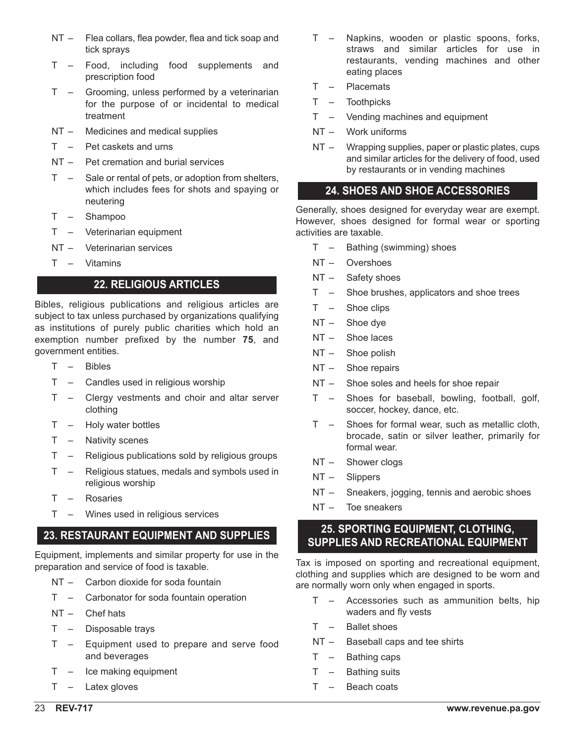- NT Flea collars, flea powder, flea and tick soap and tick sprays
- T Food, including food supplements and prescription food
- T Grooming, unless performed by a veterinarian for the purpose of or incidental to medical treatment
- NT Medicines and medical supplies
- T Pet caskets and urns
- NT Pet cremation and burial services
- T Sale or rental of pets, or adoption from shelters, which includes fees for shots and spaying or neutering
- T Shampoo
- T Veterinarian equipment
- NT Veterinarian services
- T Vitamins

## **22. RELIGIOUS ARTICLES**

Bibles, religious publications and religious articles are subject to tax unless purchased by organizations qualifying as institutions of purely public charities which hold an exemption number prefixed by the number **75**, and government entities.

- T Bibles
- T Candles used in religious worship
- T Clergy vestments and choir and altar server clothing
- T Holy water bottles
- T Nativity scenes
- T Religious publications sold by religious groups
- T Religious statues, medals and symbols used in religious worship
- T Rosaries
- T Wines used in religious services

# **23. RESTAURANT EQUIPMENT AND SUPPLIES**

Equipment, implements and similar property for use in the preparation and service of food is taxable.

- NT Carbon dioxide for soda fountain
- T Carbonator for soda fountain operation
- NT Chef hats
- T Disposable trays
- T Equipment used to prepare and serve food and beverages
- T Ice making equipment
- T Latex gloves
- T Napkins, wooden or plastic spoons, forks, straws and similar articles for use in restaurants, vending machines and other eating places
- T Placemats
- T Toothpicks
- T Vending machines and equipment
- NT Work uniforms
- NT Wrapping supplies, paper or plastic plates, cups and similar articles for the delivery of food, used by restaurants or in vending machines

## **24. SHOES AND SHOE ACCESSORIES**

Generally, shoes designed for everyday wear are exempt. However, shoes designed for formal wear or sporting activities are taxable.

- T Bathing (swimming) shoes
- NT Overshoes
- NT Safety shoes
- T Shoe brushes, applicators and shoe trees
- T Shoe clips
- NT Shoe dye
- NT Shoe laces
- NT Shoe polish
- NT Shoe repairs
- NT Shoe soles and heels for shoe repair
- T Shoes for baseball, bowling, football, golf, soccer, hockey, dance, etc.
- T Shoes for formal wear, such as metallic cloth, brocade, satin or silver leather, primarily for formal wear.
- NT Shower clogs
- NT Slippers
- NT Sneakers, jogging, tennis and aerobic shoes
- NT Toe sneakers

## **25. SPORTING EQUIPMENT, CLOTHING, SUPPLIES AND RECREATIONAL EQUIPMENT**

Tax is imposed on sporting and recreational equipment, clothing and supplies which are designed to be worn and are normally worn only when engaged in sports.

- T Accessories such as ammunition belts, hip waders and fly vests
- T Ballet shoes
- NT Baseball caps and tee shirts
- T Bathing caps
- T Bathing suits
- T Beach coats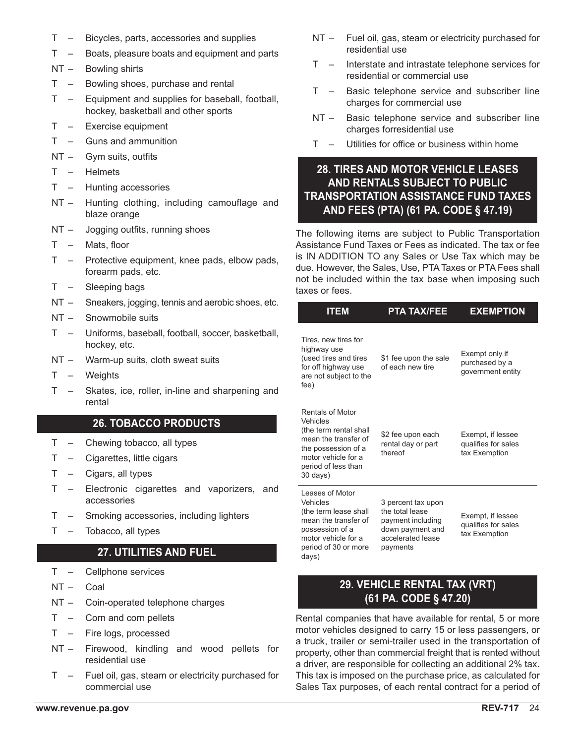- T Bicycles, parts, accessories and supplies
- T Boats, pleasure boats and equipment and parts
- NT Bowling shirts
- T Bowling shoes, purchase and rental
- T Equipment and supplies for baseball, football, hockey, basketball and other sports
- T Exercise equipment
- T Guns and ammunition
- NT Gym suits, outfits
- T Helmets
- T Hunting accessories
- NT Hunting clothing, including camouflage and blaze orange
- NT Jogging outfits, running shoes
- T Mats, floor
- T Protective equipment, knee pads, elbow pads, forearm pads, etc.
- T Sleeping bags
- NT Sneakers, jogging, tennis and aerobic shoes, etc.
- NT Snowmobile suits
- T Uniforms, baseball, football, soccer, basketball, hockey, etc.
- NT Warm-up suits, cloth sweat suits
- T Weights
- T Skates, ice, roller, in-line and sharpening and rental

### **26. TOBACCO PRODUCTS**

- T Chewing tobacco, all types
- T Cigarettes, little cigars
- T Cigars, all types
- T Electronic cigarettes and vaporizers, and accessories
- T Smoking accessories, including lighters
- T Tobacco, all types

## **27. UTILITIES AND FUEL**

- T Cellphone services
- NT Coal
- NT Coin-operated telephone charges
- T Corn and corn pellets
- T Fire logs, processed
- NT Firewood, kindling and wood pellets for residential use
- T Fuel oil, gas, steam or electricity purchased for commercial use
- NT Fuel oil, gas, steam or electricity purchased for residential use
- T Interstate and intrastate telephone services for residential or commercial use
- T Basic telephone service and subscriber line charges for commercial use
- NT Basic telephone service and subscriber line charges forresidential use
- T Utilities for office or business within home

## **28. TIRES AND MOTOR VEHICLE LEASES AND RENTALS SUBJECT TO PUBLIC TRANSPORTATION ASSISTANCE FUND TAXES AND FEES (PTA) (61 PA. CODE § 47.19)**

The following items are subject to Public Transportation Assistance Fund Taxes or Fees as indicated. The tax or fee is IN ADDITION TO any Sales or Use Tax which may be due. However, the Sales, Use, PTA Taxes or PTA Fees shall not be included within the tax base when imposing such taxes or fees.

| <b>ITEM</b>                                                                                                                                                     | <b>PTA TAX/FEE</b>                                                                                              | <b>EXEMPTION</b>                                          |  |  |  |  |
|-----------------------------------------------------------------------------------------------------------------------------------------------------------------|-----------------------------------------------------------------------------------------------------------------|-----------------------------------------------------------|--|--|--|--|
| Tires, new tires for<br>highway use<br>(used tires and tires<br>for off highway use<br>are not subject to the<br>fee)                                           | \$1 fee upon the sale<br>of each new tire                                                                       | Exempt only if<br>purchased by a<br>government entity     |  |  |  |  |
| Rentals of Motor<br>Vehicles<br>(the term rental shall<br>mean the transfer of<br>the possession of a<br>motor vehicle for a<br>period of less than<br>30 days) | \$2 fee upon each<br>rental day or part<br>thereof                                                              | Exempt, if lessee<br>qualifies for sales<br>tax Exemption |  |  |  |  |
| Leases of Motor<br>Vehicles<br>(the term lease shall<br>mean the transfer of<br>possession of a<br>motor vehicle for a<br>period of 30 or more<br>days)         | 3 percent tax upon<br>the total lease<br>payment including<br>down payment and<br>accelerated lease<br>payments | Exempt, if lessee<br>qualifies for sales<br>tax Exemption |  |  |  |  |
|                                                                                                                                                                 | <b>29. VEHICLE RENTAL TAX (VRT)</b><br>(61 PA. CODE § 47.20)                                                    |                                                           |  |  |  |  |
| Rental companies that have available for rental, 5 or more<br>motor vehicles designed to carry 15 or less passengers, or                                        |                                                                                                                 |                                                           |  |  |  |  |

motor vehicles designed to carry 15 or less passengers, or a truck, trailer or semi-trailer used in the transportation of property, other than commercial freight that is rented without a driver, are responsible for collecting an additional 2% tax. This tax is imposed on the purchase price, as calculated for Sales Tax purposes, of each rental contract for a period of